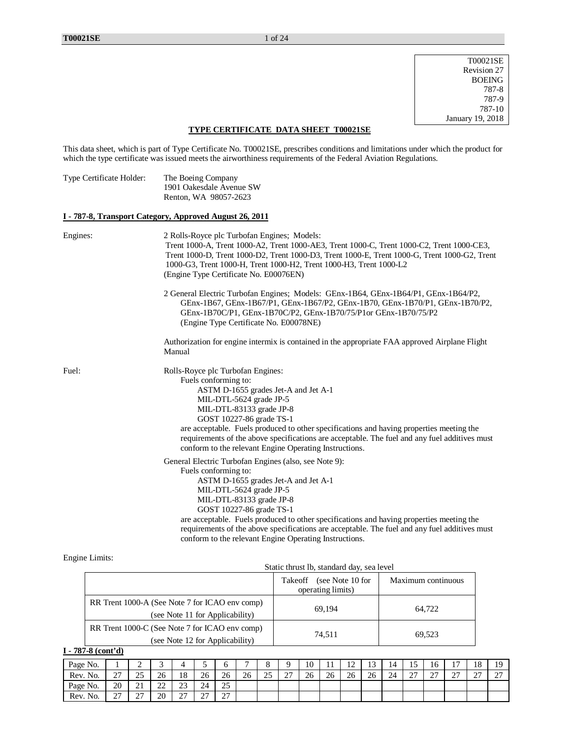T00021SE Revision 27 BOEING 787-8 787-9 787-10 January 19, 2018

### **TYPE CERTIFICATE DATA SHEET T00021SE**

This data sheet, which is part of Type Certificate No. T00021SE, prescribes conditions and limitations under which the product for which the type certificate was issued meets the airworthiness requirements of the Federal Aviation Regulations.

| The Boeing Company       |
|--------------------------|
| 1901 Oakesdale Avenue SW |
| Renton, WA 98057-2623    |
|                          |

### **I - 787-8, Transport Category, Approved August 26, 2011**

| Engines: | 2 Rolls-Royce plc Turbofan Engines; Models:<br>Trent 1000-A, Trent 1000-A2, Trent 1000-AE3, Trent 1000-C, Trent 1000-C2, Trent 1000-CE3,<br>Trent 1000-D, Trent 1000-D2, Trent 1000-D3, Trent 1000-E, Trent 1000-G, Trent 1000-G2, Trent<br>1000-G3, Trent 1000-H, Trent 1000-H2, Trent 1000-H3, Trent 1000-L2<br>(Engine Type Certificate No. E00076EN)                                                                                                        |
|----------|-----------------------------------------------------------------------------------------------------------------------------------------------------------------------------------------------------------------------------------------------------------------------------------------------------------------------------------------------------------------------------------------------------------------------------------------------------------------|
|          | 2 General Electric Turbofan Engines; Models: GEnx-1B64, GEnx-1B64/P1, GEnx-1B64/P2,<br>GEnx-1B67, GEnx-1B67/P1, GEnx-1B67/P2, GEnx-1B70, GEnx-1B70/P1, GEnx-1B70/P2,<br>GEnx-1B70C/P1, GEnx-1B70C/P2, GEnx-1B70/75/P1or GEnx-1B70/75/P2<br>(Engine Type Certificate No. E00078NE)                                                                                                                                                                               |
|          | Authorization for engine intermix is contained in the appropriate FAA approved Airplane Flight<br>Manual                                                                                                                                                                                                                                                                                                                                                        |
| Fuel:    | Rolls-Royce plc Turbofan Engines:<br>Fuels conforming to:<br>ASTM D-1655 grades Jet-A and Jet A-1<br>MIL-DTL-5624 grade JP-5<br>MIL-DTL-83133 grade JP-8<br>GOST 10227-86 grade TS-1<br>are acceptable. Fuels produced to other specifications and having properties meeting the<br>requirements of the above specifications are acceptable. The fuel and any fuel additives must<br>conform to the relevant Engine Operating Instructions.                     |
|          | General Electric Turbofan Engines (also, see Note 9):<br>Fuels conforming to:<br>ASTM D-1655 grades Jet-A and Jet A-1<br>MIL-DTL-5624 grade JP-5<br>MIL-DTL-83133 grade JP-8<br>GOST 10227-86 grade TS-1<br>are acceptable. Fuels produced to other specifications and having properties meeting the<br>requirements of the above specifications are acceptable. The fuel and any fuel additives must<br>conform to the relevant Engine Operating Instructions. |

### Engine Limits:

|                                                                                   | (see Note 10 for<br>Takeoff<br>operating limits) | Maximum continuous |
|-----------------------------------------------------------------------------------|--------------------------------------------------|--------------------|
| RR Trent 1000-A (See Note 7 for ICAO env comp)<br>(see Note 11 for Applicability) | 69.194                                           | 64.722             |
| RR Trent 1000-C (See Note 7 for ICAO env comp)<br>(see Note 12 for Applicability) | 74.511                                           | 69.523             |

# **I - 787-8 (cont'd)**

| Page No. |                    | -                                  | $\overline{ }$<br>- |               |               |                |    | ×.<br>u  |               | 10 | . . | $\sim$<br>∸ | $\sim$<br>⊥ | 4  |              | 16            | —<br>. .      | 18          | 19<br>. .   |
|----------|--------------------|------------------------------------|---------------------|---------------|---------------|----------------|----|----------|---------------|----|-----|-------------|-------------|----|--------------|---------------|---------------|-------------|-------------|
| Rev. No. | $\sim$<br>، ۔      | $\sim$ $\sim$<br>رے                | 26                  | 18            | 26            | 26             | 26 | つく<br>رے | $\sim$<br>ا ت | 26 | 26  | 26          | 26          | 24 | $\sim$<br>∼. | $\sim$<br>ا ت | $\sim$<br>ا ت | $\sim$<br>∼ | $\sim$<br>∼ |
| Page No. | 20                 | $\sim$<br>$\sim$ 1                 | $\cap$<br>∸         | 23            | 24            | 25<br>رے       |    |          |               |    |     |             |             |    |              |               |               |             |             |
| Rev. No. | $\sim$<br><u>.</u> | $\sim$<br>$\overline{\phantom{a}}$ | 20                  | $\sim$<br>ا ت | $\sim$<br>، ت | $\sim$<br>ر ہے |    |          |               |    |     |             |             |    |              |               |               |             |             |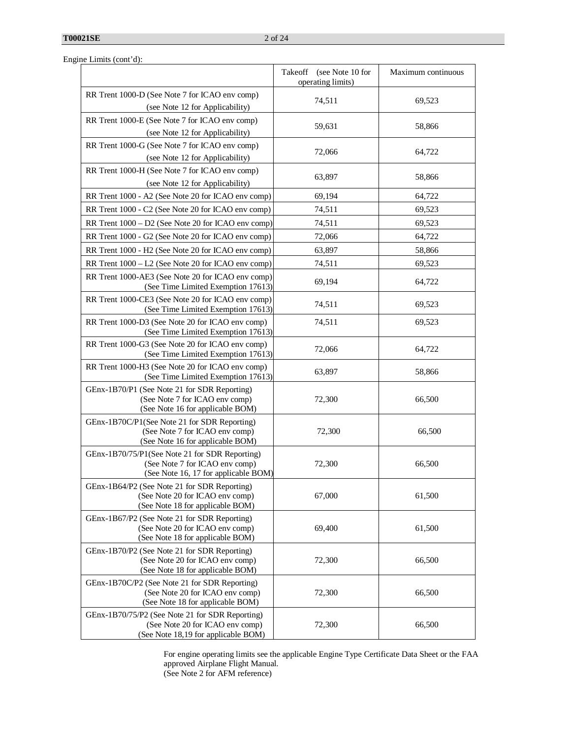|  | Engine Limits (cont'd): |  |
|--|-------------------------|--|
|  |                         |  |

|                                                                                                                           | Takeoff<br>(see Note 10 for<br>operating limits) | Maximum continuous |
|---------------------------------------------------------------------------------------------------------------------------|--------------------------------------------------|--------------------|
| RR Trent 1000-D (See Note 7 for ICAO env comp)<br>(see Note 12 for Applicability)                                         | 74,511                                           | 69,523             |
| RR Trent 1000-E (See Note 7 for ICAO env comp)<br>(see Note 12 for Applicability)                                         | 59,631                                           | 58,866             |
| RR Trent 1000-G (See Note 7 for ICAO env comp)<br>(see Note 12 for Applicability)                                         | 72,066                                           | 64,722             |
| RR Trent 1000-H (See Note 7 for ICAO env comp)<br>(see Note 12 for Applicability)                                         | 63,897                                           | 58,866             |
| RR Trent 1000 - A2 (See Note 20 for ICAO env comp)                                                                        | 69,194                                           | 64,722             |
| RR Trent 1000 - C2 (See Note 20 for ICAO env comp)                                                                        | 74,511                                           | 69,523             |
| RR Trent 1000 - D2 (See Note 20 for ICAO env comp)                                                                        | 74,511                                           | 69,523             |
| RR Trent 1000 - G2 (See Note 20 for ICAO env comp)                                                                        | 72,066                                           | 64,722             |
| RR Trent 1000 - H2 (See Note 20 for ICAO env comp)                                                                        | 63,897                                           | 58,866             |
| RR Trent 1000 - L2 (See Note 20 for ICAO env comp)                                                                        | 74,511                                           | 69,523             |
| RR Trent 1000-AE3 (See Note 20 for ICAO env comp)<br>(See Time Limited Exemption 17613)                                   | 69,194                                           | 64,722             |
| RR Trent 1000-CE3 (See Note 20 for ICAO env comp)<br>(See Time Limited Exemption 17613)                                   | 74,511                                           | 69,523             |
| RR Trent 1000-D3 (See Note 20 for ICAO env comp)<br>(See Time Limited Exemption 17613)                                    | 74,511                                           | 69.523             |
| RR Trent 1000-G3 (See Note 20 for ICAO env comp)<br>(See Time Limited Exemption 17613)                                    | 72,066                                           | 64,722             |
| RR Trent 1000-H3 (See Note 20 for ICAO env comp)<br>(See Time Limited Exemption 17613)                                    | 63,897                                           | 58,866             |
| GEnx-1B70/P1 (See Note 21 for SDR Reporting)<br>(See Note 7 for ICAO env comp)<br>(See Note 16 for applicable BOM)        | 72,300                                           | 66,500             |
| GEnx-1B70C/P1(See Note 21 for SDR Reporting)<br>(See Note 7 for ICAO env comp)<br>(See Note 16 for applicable BOM)        | 72,300                                           | 66,500             |
| GEnx-1B70/75/P1(See Note 21 for SDR Reporting)<br>(See Note 7 for ICAO env comp)<br>(See Note 16, 17 for applicable BOM)  | 72,300                                           | 66,500             |
| GEnx-1B64/P2 (See Note 21 for SDR Reporting)<br>(See Note 20 for ICAO env comp)<br>(See Note 18 for applicable BOM)       | 67,000                                           | 61,500             |
| GEnx-1B67/P2 (See Note 21 for SDR Reporting)<br>(See Note 20 for ICAO env comp)<br>(See Note 18 for applicable BOM)       | 69,400                                           | 61,500             |
| GEnx-1B70/P2 (See Note 21 for SDR Reporting)<br>(See Note 20 for ICAO env comp)<br>(See Note 18 for applicable BOM)       | 72,300                                           | 66,500             |
| GEnx-1B70C/P2 (See Note 21 for SDR Reporting)<br>(See Note 20 for ICAO env comp)<br>(See Note 18 for applicable BOM)      | 72,300                                           | 66,500             |
| GEnx-1B70/75/P2 (See Note 21 for SDR Reporting)<br>(See Note 20 for ICAO env comp)<br>(See Note 18,19 for applicable BOM) | 72,300                                           | 66,500             |

For engine operating limits see the applicable Engine Type Certificate Data Sheet or the FAA approved Airplane Flight Manual. (See Note 2 for AFM reference)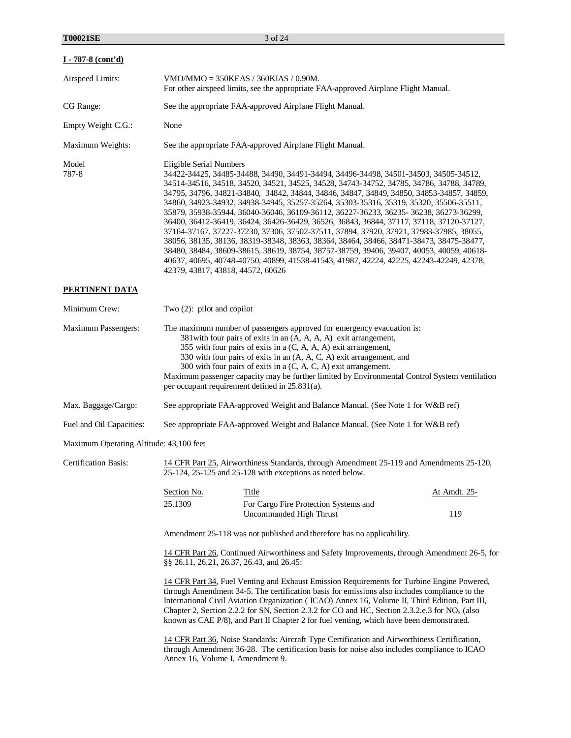| $I - 787 - 8$ (cont'd)                  |                                                                                                                                                                                                                                                                                                                                                                                                                                                                                                                                                                                                                                                                                                                                                                                                                                                                                                                                                                                                              |                                                                                                                                                                                                                                                                                                                                                                                                                                                                                              |                     |  |  |  |  |
|-----------------------------------------|--------------------------------------------------------------------------------------------------------------------------------------------------------------------------------------------------------------------------------------------------------------------------------------------------------------------------------------------------------------------------------------------------------------------------------------------------------------------------------------------------------------------------------------------------------------------------------------------------------------------------------------------------------------------------------------------------------------------------------------------------------------------------------------------------------------------------------------------------------------------------------------------------------------------------------------------------------------------------------------------------------------|----------------------------------------------------------------------------------------------------------------------------------------------------------------------------------------------------------------------------------------------------------------------------------------------------------------------------------------------------------------------------------------------------------------------------------------------------------------------------------------------|---------------------|--|--|--|--|
| Airspeed Limits:                        | $VMO/MMO = 350KEAS / 360KIAS / 0.90M.$<br>For other airspeed limits, see the appropriate FAA-approved Airplane Flight Manual.                                                                                                                                                                                                                                                                                                                                                                                                                                                                                                                                                                                                                                                                                                                                                                                                                                                                                |                                                                                                                                                                                                                                                                                                                                                                                                                                                                                              |                     |  |  |  |  |
| CG Range:                               | See the appropriate FAA-approved Airplane Flight Manual.                                                                                                                                                                                                                                                                                                                                                                                                                                                                                                                                                                                                                                                                                                                                                                                                                                                                                                                                                     |                                                                                                                                                                                                                                                                                                                                                                                                                                                                                              |                     |  |  |  |  |
| Empty Weight C.G.:                      | None                                                                                                                                                                                                                                                                                                                                                                                                                                                                                                                                                                                                                                                                                                                                                                                                                                                                                                                                                                                                         |                                                                                                                                                                                                                                                                                                                                                                                                                                                                                              |                     |  |  |  |  |
| Maximum Weights:                        | See the appropriate FAA-approved Airplane Flight Manual.                                                                                                                                                                                                                                                                                                                                                                                                                                                                                                                                                                                                                                                                                                                                                                                                                                                                                                                                                     |                                                                                                                                                                                                                                                                                                                                                                                                                                                                                              |                     |  |  |  |  |
| Model<br>787-8                          | <b>Eligible Serial Numbers</b><br>34422-34425, 34485-34488, 34490, 34491-34494, 34496-34498, 34501-34503, 34505-34512,<br>34514-34516, 34518, 34520, 34521, 34525, 34528, 34743-34752, 34785, 34786, 34788, 34789,<br>34795, 34796, 34821-34840, 34842, 34844, 34846, 34847, 34849, 34850, 34853-34857, 34859,<br>34860, 34923-34932, 34938-34945, 35257-35264, 35303-35316, 35319, 35320, 35506-35511,<br>35879, 35938-35944, 36040-36046, 36109-36112, 36227-36233, 36235- 36238, 36273-36299,<br>36400, 36412-36419, 36424, 36426-36429, 36526, 36843, 36844, 37117, 37118, 37120-37127,<br>37164-37167, 37227-37230, 37306, 37502-37511, 37894, 37920, 37921, 37983-37985, 38055,<br>38056, 38135, 38136, 38319-38348, 38363, 38364, 38464, 38466, 38471-38473, 38475-38477,<br>38480, 38484, 38609-38615, 38619, 38754, 38757-38759, 39406, 39407, 40053, 40059, 40618-<br>40637, 40695, 40748-40750, 40899, 41538-41543, 41987, 42224, 42225, 42243-42249, 42378,<br>42379, 43817, 43818, 44572, 60626 |                                                                                                                                                                                                                                                                                                                                                                                                                                                                                              |                     |  |  |  |  |
| <b>PERTINENT DATA</b>                   |                                                                                                                                                                                                                                                                                                                                                                                                                                                                                                                                                                                                                                                                                                                                                                                                                                                                                                                                                                                                              |                                                                                                                                                                                                                                                                                                                                                                                                                                                                                              |                     |  |  |  |  |
| Minimum Crew:                           | Two $(2)$ : pilot and copilot                                                                                                                                                                                                                                                                                                                                                                                                                                                                                                                                                                                                                                                                                                                                                                                                                                                                                                                                                                                |                                                                                                                                                                                                                                                                                                                                                                                                                                                                                              |                     |  |  |  |  |
| Maximum Passengers:                     | The maximum number of passengers approved for emergency evacuation is:<br>381 with four pairs of exits in an (A, A, A, A) exit arrangement,<br>355 with four pairs of exits in a (C, A, A, A) exit arrangement,<br>330 with four pairs of exits in an (A, A, C, A) exit arrangement, and<br>300 with four pairs of exits in a $(C, A, C, A)$ exit arrangement.<br>Maximum passenger capacity may be further limited by Environmental Control System ventilation<br>per occupant requirement defined in 25.831(a).                                                                                                                                                                                                                                                                                                                                                                                                                                                                                            |                                                                                                                                                                                                                                                                                                                                                                                                                                                                                              |                     |  |  |  |  |
| Max. Baggage/Cargo:                     | See appropriate FAA-approved Weight and Balance Manual. (See Note 1 for W&B ref)                                                                                                                                                                                                                                                                                                                                                                                                                                                                                                                                                                                                                                                                                                                                                                                                                                                                                                                             |                                                                                                                                                                                                                                                                                                                                                                                                                                                                                              |                     |  |  |  |  |
| Fuel and Oil Capacities:                |                                                                                                                                                                                                                                                                                                                                                                                                                                                                                                                                                                                                                                                                                                                                                                                                                                                                                                                                                                                                              | See appropriate FAA-approved Weight and Balance Manual. (See Note 1 for W&B ref)                                                                                                                                                                                                                                                                                                                                                                                                             |                     |  |  |  |  |
| Maximum Operating Altitude: 43,100 feet |                                                                                                                                                                                                                                                                                                                                                                                                                                                                                                                                                                                                                                                                                                                                                                                                                                                                                                                                                                                                              |                                                                                                                                                                                                                                                                                                                                                                                                                                                                                              |                     |  |  |  |  |
| <b>Certification Basis:</b>             |                                                                                                                                                                                                                                                                                                                                                                                                                                                                                                                                                                                                                                                                                                                                                                                                                                                                                                                                                                                                              | 14 CFR Part 25, Airworthiness Standards, through Amendment 25-119 and Amendments 25-120,<br>25-124, 25-125 and 25-128 with exceptions as noted below.                                                                                                                                                                                                                                                                                                                                        |                     |  |  |  |  |
|                                         | Section No.<br>25.1309                                                                                                                                                                                                                                                                                                                                                                                                                                                                                                                                                                                                                                                                                                                                                                                                                                                                                                                                                                                       | Title<br>For Cargo Fire Protection Systems and<br>Uncommanded High Thrust                                                                                                                                                                                                                                                                                                                                                                                                                    | At Amdt. 25-<br>119 |  |  |  |  |
|                                         |                                                                                                                                                                                                                                                                                                                                                                                                                                                                                                                                                                                                                                                                                                                                                                                                                                                                                                                                                                                                              | Amendment 25-118 was not published and therefore has no applicability.                                                                                                                                                                                                                                                                                                                                                                                                                       |                     |  |  |  |  |
|                                         | §§ 26.11, 26.21, 26.37, 26.43, and 26.45:                                                                                                                                                                                                                                                                                                                                                                                                                                                                                                                                                                                                                                                                                                                                                                                                                                                                                                                                                                    | 14 CFR Part 26, Continued Airworthiness and Safety Improvements, through Amendment 26-5, for                                                                                                                                                                                                                                                                                                                                                                                                 |                     |  |  |  |  |
|                                         |                                                                                                                                                                                                                                                                                                                                                                                                                                                                                                                                                                                                                                                                                                                                                                                                                                                                                                                                                                                                              | 14 CFR Part 34, Fuel Venting and Exhaust Emission Requirements for Turbine Engine Powered,<br>through Amendment 34-5. The certification basis for emissions also includes compliance to the<br>International Civil Aviation Organization (ICAO) Annex 16, Volume II, Third Edition, Part III,<br>Chapter 2, Section 2.2.2 for SN, Section 2.3.2 for CO and HC, Section 2.3.2.e.3 for $NOx$ (also<br>known as CAE P/8), and Part II Chapter 2 for fuel venting, which have been demonstrated. |                     |  |  |  |  |
|                                         | Annex 16, Volume I, Amendment 9.                                                                                                                                                                                                                                                                                                                                                                                                                                                                                                                                                                                                                                                                                                                                                                                                                                                                                                                                                                             | 14 CFR Part 36, Noise Standards: Aircraft Type Certification and Airworthiness Certification,<br>through Amendment 36-28. The certification basis for noise also includes compliance to ICAO                                                                                                                                                                                                                                                                                                 |                     |  |  |  |  |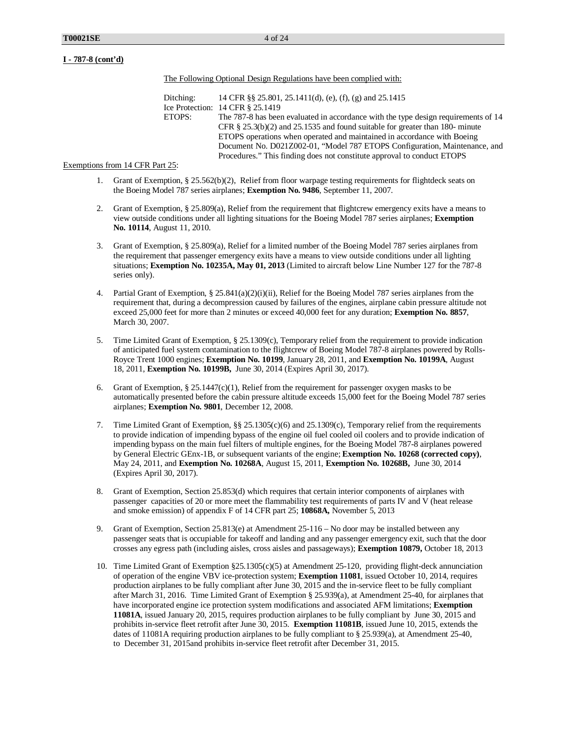The Following Optional Design Regulations have been complied with:

Ditching: 14 CFR §§ 25.801, 25.1411(d), (e), (f), (g) and 25.1415 Ice Protection: 14 CFR § 25.1419 ETOPS: The 787-8 has been evaluated in accordance with the type design requirements of 14 CFR § 25.3(b)(2) and 25.1535 and found suitable for greater than 180- minute ETOPS operations when operated and maintained in accordance with Boeing Document No. D021Z002-01, "Model 787 ETOPS Configuration, Maintenance, and Procedures." This finding does not constitute approval to conduct ETOPS

#### Exemptions from 14 CFR Part 25:

- 1. Grant of Exemption, § 25.562(b)(2), Relief from floor warpage testing requirements for flightdeck seats on the Boeing Model 787 series airplanes; **Exemption No. 9486**, September 11, 2007.
- 2. Grant of Exemption, § 25.809(a), Relief from the requirement that flightcrew emergency exits have a means to view outside conditions under all lighting situations for the Boeing Model 787 series airplanes; **Exemption No. 10114**, August 11, 2010.
- 3. Grant of Exemption, § 25.809(a), Relief for a limited number of the Boeing Model 787 series airplanes from the requirement that passenger emergency exits have a means to view outside conditions under all lighting situations; **Exemption No. 10235A, May 01, 2013** (Limited to aircraft below Line Number 127 for the 787-8 series only).
- 4. Partial Grant of Exemption, § 25.841(a)(2)(i)(ii), Relief for the Boeing Model 787 series airplanes from the requirement that, during a decompression caused by failures of the engines, airplane cabin pressure altitude not exceed 25,000 feet for more than 2 minutes or exceed 40,000 feet for any duration; **Exemption No. 8857**, March 30, 2007.
- 5. Time Limited Grant of Exemption, § 25.1309(c), Temporary relief from the requirement to provide indication of anticipated fuel system contamination to the flightcrew of Boeing Model 787-8 airplanes powered by Rolls-Royce Trent 1000 engines; **Exemption No. 10199**, January 28, 2011, and **Exemption No. 10199A**, August 18, 2011, **Exemption No. 10199B,** June 30, 2014 (Expires April 30, 2017).
- 6. Grant of Exemption, § 25.1447(c)(1), Relief from the requirement for passenger oxygen masks to be automatically presented before the cabin pressure altitude exceeds 15,000 feet for the Boeing Model 787 series airplanes; **Exemption No. 9801**, December 12, 2008.
- 7. Time Limited Grant of Exemption, §§ 25.1305(c)(6) and 25.1309(c), Temporary relief from the requirements to provide indication of impending bypass of the engine oil fuel cooled oil coolers and to provide indication of impending bypass on the main fuel filters of multiple engines, for the Boeing Model 787-8 airplanes powered by General Electric GEnx-1B, or subsequent variants of the engine; **Exemption No. 10268 (corrected copy)**, May 24, 2011, and **Exemption No. 10268A**, August 15, 2011, **Exemption No. 10268B,** June 30, 2014 (Expires April 30, 2017).
- 8. Grant of Exemption, Section 25.853(d) which requires that certain interior components of airplanes with passenger capacities of 20 or more meet the flammability test requirements of parts IV and V (heat release and smoke emission) of appendix F of 14 CFR part 25; **10868A,** November 5, 2013
- 9. Grant of Exemption, Section 25.813(e) at Amendment 25-116 No door may be installed between any passenger seats that is occupiable for takeoff and landing and any passenger emergency exit, such that the door crosses any egress path (including aisles, cross aisles and passageways); **Exemption 10879,** October 18, 2013
- 10. Time Limited Grant of Exemption §25.1305(c)(5) at Amendment 25-120, providing flight-deck annunciation of operation of the engine VBV ice-protection system; **Exemption 11081**, issued October 10, 2014, requires production airplanes to be fully compliant after June 30, 2015 and the in-service fleet to be fully compliant after March 31, 2016. Time Limited Grant of Exemption § 25.939(a), at Amendment 25-40, for airplanes that have incorporated engine ice protection system modifications and associated AFM limitations; **Exemption 11081A**, issued January 20, 2015, requires production airplanes to be fully compliant by June 30, 2015 and prohibits in-service fleet retrofit after June 30, 2015. **Exemption 11081B**, issued June 10, 2015, extends the dates of 11081A requiring production airplanes to be fully compliant to § 25.939(a), at Amendment 25-40, to December 31, 2015and prohibits in-service fleet retrofit after December 31, 2015.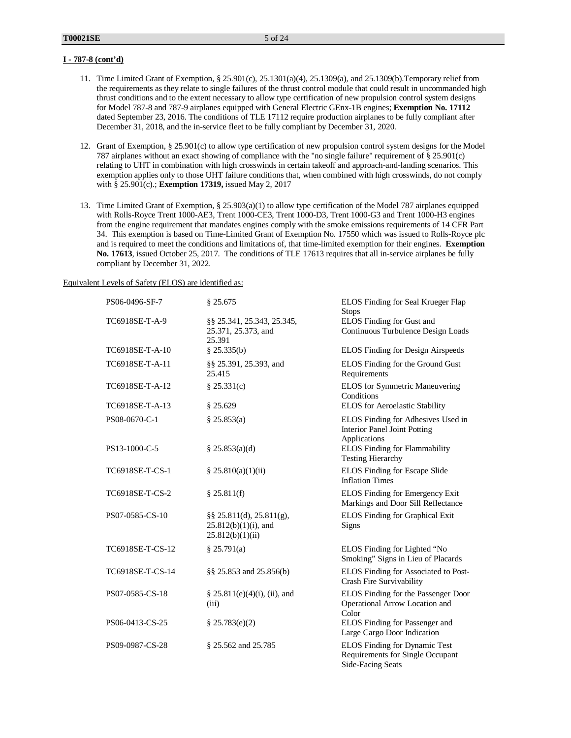- 11. Time Limited Grant of Exemption, § 25.901(c), 25.1301(a)(4), 25.1309(a), and 25.1309(b).Temporary relief from the requirements as they relate to single failures of the thrust control module that could result in uncommanded high thrust conditions and to the extent necessary to allow type certification of new propulsion control system designs for Model 787-8 and 787-9 airplanes equipped with General Electric GEnx-1B engines; **Exemption No. 17112** dated September 23, 2016. The conditions of TLE 17112 require production airplanes to be fully compliant after December 31, 2018, and the in-service fleet to be fully compliant by December 31, 2020.
- 12. Grant of Exemption, § 25.901(c) to allow type certification of new propulsion control system designs for the Model 787 airplanes without an exact showing of compliance with the "no single failure" requirement of § 25.901(c) relating to UHT in combination with high crosswinds in certain takeoff and approach-and-landing scenarios. This exemption applies only to those UHT failure conditions that, when combined with high crosswinds, do not comply with § 25.901(c).; **Exemption 17319,** issued May 2, 2017
- 13. Time Limited Grant of Exemption, § 25.903(a)(1) to allow type certification of the Model 787 airplanes equipped with Rolls-Royce Trent 1000-AE3, Trent 1000-CE3, Trent 1000-D3, Trent 1000-G3 and Trent 1000-H3 engines from the engine requirement that mandates engines comply with the smoke emissions requirements of 14 CFR Part 34. This exemption is based on Time-Limited Grant of Exemption No. 17550 which was issued to Rolls-Royce plc and is required to meet the conditions and limitations of, that time-limited exemption for their engines. **Exemption No. 17613**, issued October 25, 2017. The conditions of TLE 17613 requires that all in-service airplanes be fully compliant by December 31, 2022.

### Equivalent Levels of Safety (ELOS) are identified as:

| PS06-0496-SF-7   | § 25.675                                                                | ELOS Finding for Seal Krueger Flap<br><b>Stops</b>                                     |
|------------------|-------------------------------------------------------------------------|----------------------------------------------------------------------------------------|
| TC6918SE-T-A-9   | §§ 25.341, 25.343, 25.345,<br>25.371, 25.373, and<br>25.391             | ELOS Finding for Gust and<br>Continuous Turbulence Design Loads                        |
| TC6918SE-T-A-10  | $§$ 25.335(b)                                                           | ELOS Finding for Design Airspeeds                                                      |
| TC6918SE-T-A-11  | §§ 25.391, 25.393, and<br>25.415                                        | ELOS Finding for the Ground Gust<br>Requirements                                       |
| TC6918SE-T-A-12  | \$25.331(c)                                                             | ELOS for Symmetric Maneuvering<br>Conditions                                           |
| TC6918SE-T-A-13  | \$25.629                                                                | ELOS for Aeroelastic Stability                                                         |
| PS08-0670-C-1    | \$25.853(a)                                                             | ELOS Finding for Adhesives Used in<br>Interior Panel Joint Potting<br>Applications     |
| PS13-1000-C-5    | \$25.853(a)(d)                                                          | <b>ELOS Finding for Flammability</b><br><b>Testing Hierarchy</b>                       |
| TC6918SE-T-CS-1  | \$25.810(a)(1)(ii)                                                      | ELOS Finding for Escape Slide<br><b>Inflation Times</b>                                |
| TC6918SE-T-CS-2  | \$25.811(f)                                                             | ELOS Finding for Emergency Exit<br>Markings and Door Sill Reflectance                  |
| PS07-0585-CS-10  | §§ 25.811(d), 25.811(g),<br>$25.812(b)(1)(i)$ , and<br>25.812(b)(1)(ii) | <b>ELOS</b> Finding for Graphical Exit<br>Signs                                        |
| TC6918SE-T-CS-12 | \$25.791(a)                                                             | ELOS Finding for Lighted "No<br>Smoking" Signs in Lieu of Placards                     |
| TC6918SE-T-CS-14 | §§ 25.853 and 25.856(b)                                                 | ELOS Finding for Associated to Post-<br>Crash Fire Survivability                       |
| PS07-0585-CS-18  | $\S 25.811(e)(4)(i)$ , (ii), and<br>(iii)                               | ELOS Finding for the Passenger Door<br>Operational Arrow Location and<br>Color         |
| PS06-0413-CS-25  | \$25.783(e)(2)                                                          | ELOS Finding for Passenger and<br>Large Cargo Door Indication                          |
| PS09-0987-CS-28  | § 25.562 and 25.785                                                     | ELOS Finding for Dynamic Test<br>Requirements for Single Occupant<br>Side-Facing Seats |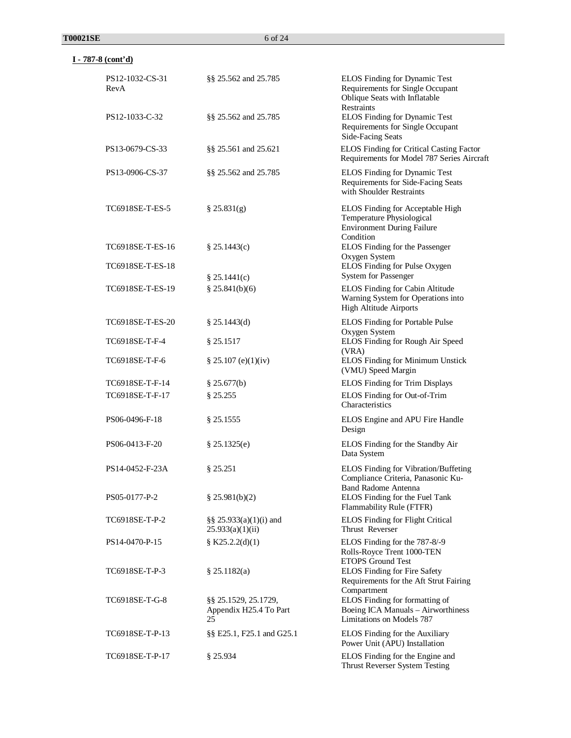| PS12-1032-CS-31<br>RevA | §§ 25.562 and 25.785                                 | ELOS Finding for Dynamic Test<br>Requirements for Single Occupant<br>Oblique Seats with Inflatable<br><b>Restraints</b> |
|-------------------------|------------------------------------------------------|-------------------------------------------------------------------------------------------------------------------------|
| PS12-1033-C-32          | §§ 25.562 and 25.785                                 | ELOS Finding for Dynamic Test<br>Requirements for Single Occupant<br>Side-Facing Seats                                  |
| PS13-0679-CS-33         | §§ 25.561 and 25.621                                 | ELOS Finding for Critical Casting Factor<br>Requirements for Model 787 Series Aircraft                                  |
| PS13-0906-CS-37         | §§ 25.562 and 25.785                                 | ELOS Finding for Dynamic Test<br>Requirements for Side-Facing Seats<br>with Shoulder Restraints                         |
| TC6918SE-T-ES-5         | § 25.831(g)                                          | ELOS Finding for Acceptable High<br>Temperature Physiological<br><b>Environment During Failure</b><br>Condition         |
| TC6918SE-T-ES-16        | § 25.1443(c)                                         | ELOS Finding for the Passenger<br>Oxygen System                                                                         |
| TC6918SE-T-ES-18        | \$25.1441(c)                                         | ELOS Finding for Pulse Oxygen<br><b>System for Passenger</b>                                                            |
| TC6918SE-T-ES-19        | § 25.841(b)(6)                                       | ELOS Finding for Cabin Altitude<br>Warning System for Operations into<br><b>High Altitude Airports</b>                  |
| TC6918SE-T-ES-20        | \$25.1443(d)                                         | <b>ELOS Finding for Portable Pulse</b><br>Oxygen System                                                                 |
| TC6918SE-T-F-4          | § 25.1517                                            | ELOS Finding for Rough Air Speed<br>(VRA)                                                                               |
| TC6918SE-T-F-6          | \$25.107(e)(1)(iv)                                   | ELOS Finding for Minimum Unstick<br>(VMU) Speed Margin                                                                  |
| TC6918SE-T-F-14         | \$25.677(b)                                          | <b>ELOS</b> Finding for Trim Displays                                                                                   |
| TC6918SE-T-F-17         | § 25.255                                             | ELOS Finding for Out-of-Trim<br>Characteristics                                                                         |
| PS06-0496-F-18          | § 25.1555                                            | ELOS Engine and APU Fire Handle<br>Design                                                                               |
| PS06-0413-F-20          | \$25.1325(e)                                         | ELOS Finding for the Standby Air<br>Data System                                                                         |
| PS14-0452-F-23A         | § 25.251                                             | <b>ELOS Finding for Vibration/Buffeting</b><br>Compliance Criteria, Panasonic Ku-<br><b>Band Radome Antenna</b>         |
| PS05-0177-P-2           | \$25.981(b)(2)                                       | ELOS Finding for the Fuel Tank<br>Flammability Rule (FTFR)                                                              |
| TC6918SE-T-P-2          | §§ $25.933(a)(1)(i)$ and<br>25.933(a)(1)(ii)         | <b>ELOS</b> Finding for Flight Critical<br>Thrust Reverser                                                              |
| PS14-0470-P-15          | § K25.2.2(d)(1)                                      | ELOS Finding for the 787-8/-9<br>Rolls-Royce Trent 1000-TEN<br><b>ETOPS Ground Test</b>                                 |
| TC6918SE-T-P-3          | \$25.1182(a)                                         | <b>ELOS</b> Finding for Fire Safety<br>Requirements for the Aft Strut Fairing<br>Compartment                            |
| TC6918SE-T-G-8          | §§ 25.1529, 25.1729,<br>Appendix H25.4 To Part<br>25 | ELOS Finding for formatting of<br>Boeing ICA Manuals - Airworthiness<br>Limitations on Models 787                       |
| TC6918SE-T-P-13         | §§ E25.1, F25.1 and G25.1                            | ELOS Finding for the Auxiliary<br>Power Unit (APU) Installation                                                         |
| TC6918SE-T-P-17         | § 25.934                                             | ELOS Finding for the Engine and<br>Thrust Reverser System Testing                                                       |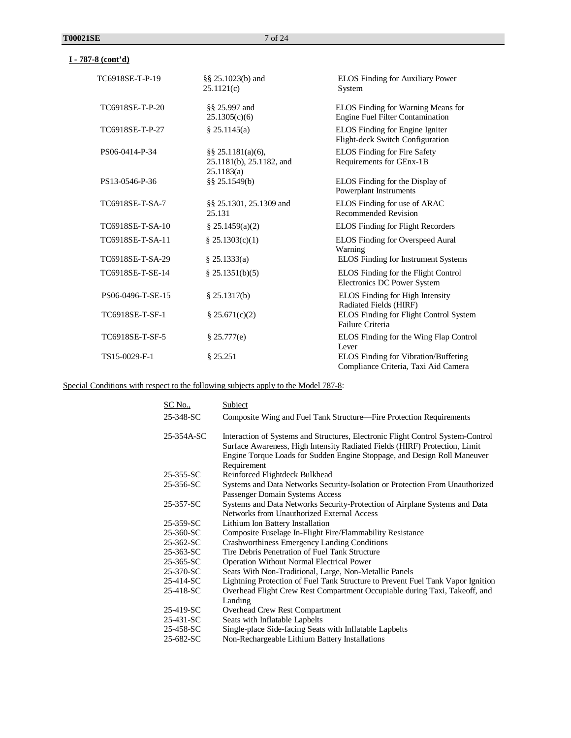| TC6918SE-T-P-19   | §§ 25.1023(b) and<br>25.1121(c)                                 | <b>ELOS</b> Finding for Auxiliary Power<br>System                            |
|-------------------|-----------------------------------------------------------------|------------------------------------------------------------------------------|
| TC6918SE-T-P-20   | §§ 25.997 and<br>25.1305(c)(6)                                  | ELOS Finding for Warning Means for<br>Engine Fuel Filter Contamination       |
| TC6918SE-T-P-27   | § 25.1145(a)                                                    | ELOS Finding for Engine Igniter<br>Flight-deck Switch Configuration          |
| PS06-0414-P-34    | $\S$ § 25.1181(a)(6),<br>25.1181(b), 25.1182, and<br>25.1183(a) | ELOS Finding for Fire Safety<br>Requirements for GEnx-1B                     |
| PS13-0546-P-36    | §§ 25.1549(b)                                                   | ELOS Finding for the Display of<br>Powerplant Instruments                    |
| TC6918SE-T-SA-7   | §§ 25.1301, 25.1309 and<br>25.131                               | ELOS Finding for use of ARAC<br><b>Recommended Revision</b>                  |
| TC6918SE-T-SA-10  | \$25.1459(a)(2)                                                 | <b>ELOS</b> Finding for Flight Recorders                                     |
| TC6918SE-T-SA-11  | \$25.1303(c)(1)                                                 | <b>ELOS</b> Finding for Overspeed Aural<br>Warning                           |
| TC6918SE-T-SA-29  | \$25.1333(a)                                                    | ELOS Finding for Instrument Systems                                          |
| TC6918SE-T-SE-14  | \$25.1351(b)(5)                                                 | ELOS Finding for the Flight Control<br>Electronics DC Power System           |
| PS06-0496-T-SE-15 | $§$ 25.1317(b)                                                  | <b>ELOS</b> Finding for High Intensity<br>Radiated Fields (HIRF)             |
| TC6918SE-T-SF-1   | \$25.671(c)(2)                                                  | ELOS Finding for Flight Control System<br>Failure Criteria                   |
| TC6918SE-T-SF-5   | \$25.777(e)                                                     | ELOS Finding for the Wing Flap Control<br>Lever                              |
| TS15-0029-F-1     | \$25.251                                                        | ELOS Finding for Vibration/Buffeting<br>Compliance Criteria, Taxi Aid Camera |

Special Conditions with respect to the following subjects apply to the Model 787-8:

| SC No.,    | Subject                                                                                                                                                                                                                                                  |
|------------|----------------------------------------------------------------------------------------------------------------------------------------------------------------------------------------------------------------------------------------------------------|
| 25-348-SC  | Composite Wing and Fuel Tank Structure—Fire Protection Requirements                                                                                                                                                                                      |
| 25-354A-SC | Interaction of Systems and Structures, Electronic Flight Control System-Control<br>Surface Awareness, High Intensity Radiated Fields (HIRF) Protection, Limit<br>Engine Torque Loads for Sudden Engine Stoppage, and Design Roll Maneuver<br>Requirement |
| 25-355-SC  | Reinforced Flightdeck Bulkhead                                                                                                                                                                                                                           |
| 25-356-SC  | Systems and Data Networks Security-Isolation or Protection From Unauthorized<br>Passenger Domain Systems Access                                                                                                                                          |
| 25-357-SC  | Systems and Data Networks Security-Protection of Airplane Systems and Data<br>Networks from Unauthorized External Access                                                                                                                                 |
| 25-359-SC  | Lithium Ion Battery Installation                                                                                                                                                                                                                         |
| 25-360-SC  | Composite Fuselage In-Flight Fire/Flammability Resistance                                                                                                                                                                                                |
| 25-362-SC  | Crashworthiness Emergency Landing Conditions                                                                                                                                                                                                             |
| 25-363-SC  | Tire Debris Penetration of Fuel Tank Structure                                                                                                                                                                                                           |
| 25-365-SC  | <b>Operation Without Normal Electrical Power</b>                                                                                                                                                                                                         |
| 25-370-SC  | Seats With Non-Traditional, Large, Non-Metallic Panels                                                                                                                                                                                                   |
| 25-414-SC  | Lightning Protection of Fuel Tank Structure to Prevent Fuel Tank Vapor Ignition                                                                                                                                                                          |
| 25-418-SC  | Overhead Flight Crew Rest Compartment Occupiable during Taxi, Takeoff, and<br>Landing                                                                                                                                                                    |
| 25-419-SC  | Overhead Crew Rest Compartment                                                                                                                                                                                                                           |
| 25-431-SC  | Seats with Inflatable Lapbelts                                                                                                                                                                                                                           |
| 25-458-SC  | Single-place Side-facing Seats with Inflatable Lapbelts                                                                                                                                                                                                  |
| 25-682-SC  | Non-Rechargeable Lithium Battery Installations                                                                                                                                                                                                           |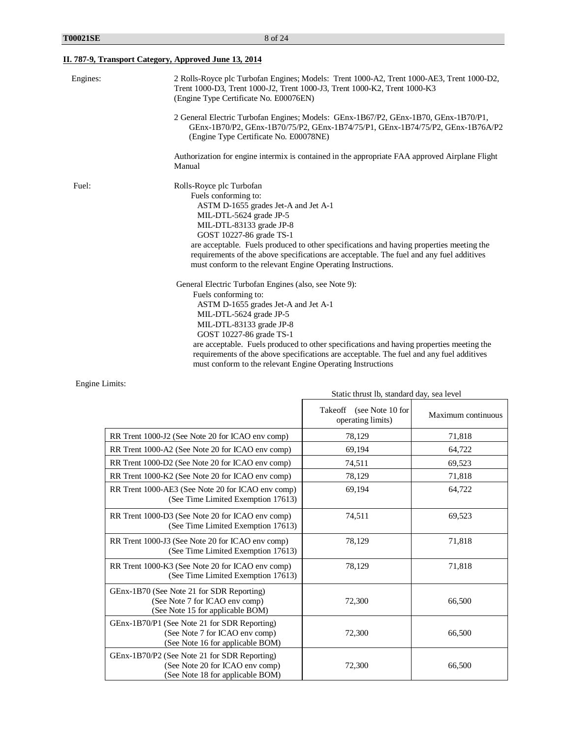## **II. 787-9, Transport Category, Approved June 13, 2014**

| Engines: | 2 Rolls-Royce plc Turbofan Engines; Models: Trent 1000-A2, Trent 1000-AE3, Trent 1000-D2,<br>Trent 1000-D3, Trent 1000-J2, Trent 1000-J3, Trent 1000-K2, Trent 1000-K3<br>(Engine Type Certificate No. E00076EN) |
|----------|------------------------------------------------------------------------------------------------------------------------------------------------------------------------------------------------------------------|
|          | 2 General Electric Turbofan Engines; Models: GEnx-1B67/P2, GEnx-1B70, GEnx-1B70/P1,<br>GEnx-1B70/P2, GEnx-1B70/75/P2, GEnx-1B74/75/P1, GEnx-1B74/75/P2, GEnx-1B76A/P2<br>(Engine Type Certificate No. E00078NE)  |
|          | Authorization for engine intermix is contained in the appropriate FAA approved Airplane Flight<br>Manual                                                                                                         |
| Fuel:    | Rolls-Royce plc Turbofan                                                                                                                                                                                         |
|          | Fuels conforming to:                                                                                                                                                                                             |
|          | ASTM D-1655 grades Jet-A and Jet A-1                                                                                                                                                                             |
|          | MIL-DTL-5624 grade JP-5                                                                                                                                                                                          |
|          | MIL-DTL-83133 grade JP-8                                                                                                                                                                                         |
|          | GOST 10227-86 grade TS-1                                                                                                                                                                                         |
|          | are acceptable. Fuels produced to other specifications and having properties meeting the                                                                                                                         |
|          | requirements of the above specifications are acceptable. The fuel and any fuel additives                                                                                                                         |
|          | must conform to the relevant Engine Operating Instructions.                                                                                                                                                      |
|          | General Electric Turbofan Engines (also, see Note 9):                                                                                                                                                            |
|          | Fuels conforming to:                                                                                                                                                                                             |
|          | ASTM D-1655 grades Jet-A and Jet A-1                                                                                                                                                                             |
|          | MIL-DTL-5624 grade JP-5                                                                                                                                                                                          |
|          | MIL-DTL-83133 grade JP-8                                                                                                                                                                                         |
|          | GOST 10227-86 grade TS-1                                                                                                                                                                                         |
|          | are acceptable. Fuels produced to other specifications and having properties meeting the                                                                                                                         |
|          | requirements of the above specifications are acceptable. The fuel and any fuel additives                                                                                                                         |
|          | must conform to the relevant Engine Operating Instructions                                                                                                                                                       |

Engine Limits:

| Static thrust id, standard day, sea level                                                                           |                                                  |                    |
|---------------------------------------------------------------------------------------------------------------------|--------------------------------------------------|--------------------|
|                                                                                                                     | Takeoff<br>(see Note 10 for<br>operating limits) | Maximum continuous |
| RR Trent 1000-J2 (See Note 20 for ICAO env comp)                                                                    | 78,129                                           | 71,818             |
| RR Trent 1000-A2 (See Note 20 for ICAO env comp)                                                                    | 69,194                                           | 64,722             |
| RR Trent 1000-D2 (See Note 20 for ICAO env comp)                                                                    | 74,511                                           | 69,523             |
| RR Trent 1000-K2 (See Note 20 for ICAO env comp)                                                                    | 78,129                                           | 71,818             |
| RR Trent 1000-AE3 (See Note 20 for ICAO env comp)<br>(See Time Limited Exemption 17613)                             | 69,194                                           | 64,722             |
| RR Trent 1000-D3 (See Note 20 for ICAO env comp)<br>(See Time Limited Exemption 17613)                              | 74,511                                           | 69,523             |
| RR Trent 1000-J3 (See Note 20 for ICAO env comp)<br>(See Time Limited Exemption 17613)                              | 78,129                                           | 71,818             |
| RR Trent 1000-K3 (See Note 20 for ICAO env comp)<br>(See Time Limited Exemption 17613)                              | 78,129                                           | 71,818             |
| GEnx-1B70 (See Note 21 for SDR Reporting)<br>(See Note 7 for ICAO env comp)<br>(See Note 15 for applicable BOM)     | 72,300                                           | 66,500             |
| GEnx-1B70/P1 (See Note 21 for SDR Reporting)<br>(See Note 7 for ICAO env comp)<br>(See Note 16 for applicable BOM)  | 72,300                                           | 66,500             |
| GEnx-1B70/P2 (See Note 21 for SDR Reporting)<br>(See Note 20 for ICAO env comp)<br>(See Note 18 for applicable BOM) | 72,300                                           | 66,500             |

Static thrust lb, standard day, sea level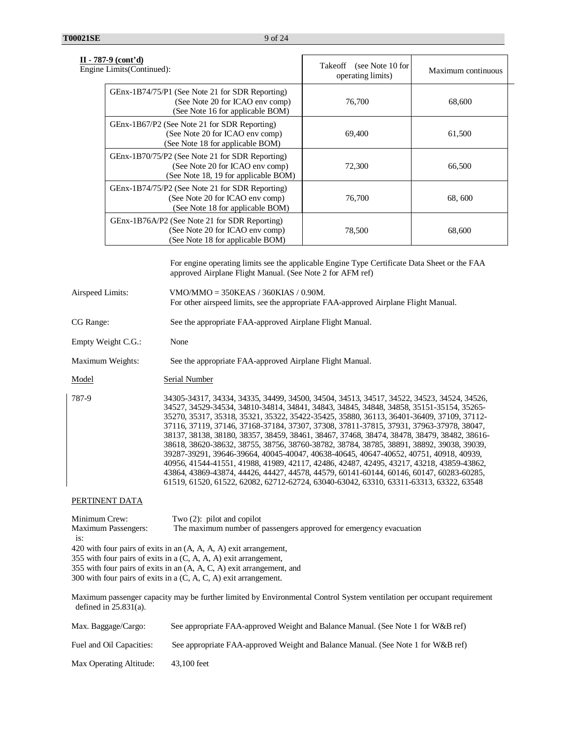| $II - 787-9$ (cont'd)<br>Engine Limits (Continued):                                                                        | Takeoff<br>(see Note 10 for<br>operating limits) | Maximum continuous |
|----------------------------------------------------------------------------------------------------------------------------|--------------------------------------------------|--------------------|
| GEnx-1B74/75/P1 (See Note 21 for SDR Reporting)<br>(See Note 20 for ICAO env comp)<br>(See Note 16 for applicable BOM)     | 76,700                                           | 68,600             |
| GEnx-1B67/P2 (See Note 21 for SDR Reporting)<br>(See Note 20 for ICAO env comp)<br>(See Note 18 for applicable BOM)        | 69,400                                           | 61,500             |
| GEnx-1B70/75/P2 (See Note 21 for SDR Reporting)<br>(See Note 20 for ICAO env comp)<br>(See Note 18, 19 for applicable BOM) | 72,300                                           | 66,500             |
| GEnx-1B74/75/P2 (See Note 21 for SDR Reporting)<br>(See Note 20 for ICAO env comp)<br>(See Note 18 for applicable BOM)     | 76,700                                           | 68, 600            |
| GEnx-1B76A/P2 (See Note 21 for SDR Reporting)<br>(See Note 20 for ICAO env comp)<br>(See Note 18 for applicable BOM)       | 78,500                                           | 68,600             |

For engine operating limits see the applicable Engine Type Certificate Data Sheet or the FAA approved Airplane Flight Manual. (See Note 2 for AFM ref)

Airspeed Limits: VMO/MMO = 350KEAS / 360KIAS / 0.90M. For other airspeed limits, see the appropriate FAA-approved Airplane Flight Manual.

CG Range: See the appropriate FAA-approved Airplane Flight Manual.

Empty Weight C.G.: None

Maximum Weights: See the appropriate FAA-approved Airplane Flight Manual.

Model Serial Number

| 787-9 | 34305-34317, 34334, 34335, 34499, 34500, 34504, 34513, 34517, 34522, 34523, 34524, 34526,  |
|-------|--------------------------------------------------------------------------------------------|
|       | 34527, 34529-34534, 34810-34814, 34841, 34843, 34845, 34848, 34858, 35151-35154, 35265-    |
|       | 35270, 35317, 35318, 35321, 35322, 35422-35425, 35880, 36113, 36401-36409, 37109, 37112-   |
|       | 37116, 37119, 37146, 37168-37184, 37307, 37308, 37811-37815, 37931, 37963-37978, 38047,    |
|       | 38137, 38138, 38180, 38357, 38459, 38461, 38467, 37468, 38474, 38478, 38479, 38482, 38616- |
|       | 38618, 38620-38632, 38755, 38756, 38760-38782, 38784, 38785, 38891, 38892, 39038, 39039,   |
|       | 39287-39291, 39646-39664, 40045-40047, 40638-40645, 40647-40652, 40751, 40918, 40939,      |
|       | 40956, 41544-41551, 41988, 41989, 42117, 42486, 42487, 42495, 43217, 43218, 43859-43862,   |
|       | 43864, 43869-43874, 44426, 44427, 44578, 44579, 60141-60144, 60146, 60147, 60283-60285,    |
|       | 61519, 61520, 61522, 62082, 62712-62724, 63040-63042, 63310, 63311-63313, 63322, 63548     |

### PERTINENT DATA

Minimum Crew: Two (2): pilot and copilot Maximum Passengers: The maximum number of passengers approved for emergency evacuation is: 420 with four pairs of exits in an (A, A, A, A) exit arrangement, 355 with four pairs of exits in a (C, A, A, A) exit arrangement, 355 with four pairs of exits in an (A, A, C, A) exit arrangement, and

300 with four pairs of exits in a (C, A, C, A) exit arrangement.

Maximum passenger capacity may be further limited by Environmental Control System ventilation per occupant requirement defined in  $25.831(a)$ .

| Max. Baggage/Cargo:      | See appropriate FAA-approved Weight and Balance Manual. (See Note 1 for W&B ref) |
|--------------------------|----------------------------------------------------------------------------------|
| Fuel and Oil Capacities: | See appropriate FAA-approved Weight and Balance Manual. (See Note 1 for W&B ref) |
| Max Operating Altitude:  | 43,100 feet                                                                      |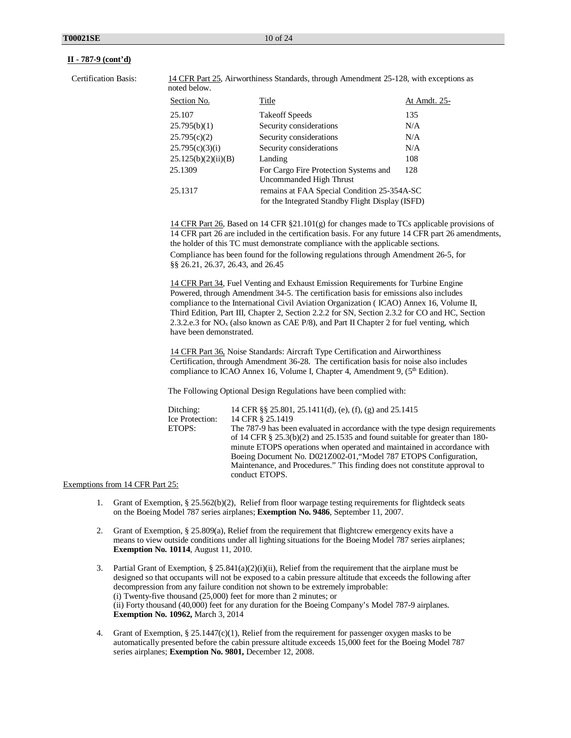Certification Basis: 14 CFR Part 25, Airworthiness Standards, through Amendment 25-128, with exceptions as noted below.

| Section No.         | Title                                                                                           | At Amdt. 25- |
|---------------------|-------------------------------------------------------------------------------------------------|--------------|
| 25.107              | <b>Takeoff Speeds</b>                                                                           | 135          |
| 25.795(b)(1)        | Security considerations                                                                         | N/A          |
| 25.795(c)(2)        | Security considerations                                                                         | N/A          |
| 25.795(c)(3)(i)     | Security considerations                                                                         | N/A          |
| 25.125(b)(2)(ii)(B) | Landing                                                                                         | 108          |
| 25.1309             | For Cargo Fire Protection Systems and<br>Uncommanded High Thrust                                | 128          |
| 25.1317             | remains at FAA Special Condition 25-354A-SC<br>for the Integrated Standby Flight Display (ISFD) |              |

14 CFR Part 26, Based on 14 CFR  $\S 21.101(g)$  for changes made to TCs applicable provisions of 14 CFR part 26 are included in the certification basis. For any future 14 CFR part 26 amendments, the holder of this TC must demonstrate compliance with the applicable sections. Compliance has been found for the following regulations through Amendment 26-5, for §§ 26.21, 26.37, 26.43, and 26.45

14 CFR Part 34, Fuel Venting and Exhaust Emission Requirements for Turbine Engine Powered, through Amendment 34-5. The certification basis for emissions also includes compliance to the International Civil Aviation Organization ( ICAO) Annex 16, Volume II, Third Edition, Part III, Chapter 2, Section 2.2.2 for SN, Section 2.3.2 for CO and HC, Section 2.3.2.e.3 for NOx (also known as CAE P/8), and Part II Chapter 2 for fuel venting, which have been demonstrated.

14 CFR Part 36, Noise Standards: Aircraft Type Certification and Airworthiness Certification, through Amendment 36-28. The certification basis for noise also includes compliance to ICAO Annex 16, Volume I, Chapter 4, Amendment 9,  $(5<sup>th</sup> Edition)$ .

The Following Optional Design Regulations have been complied with:

| 14 CFR §§ 25.801, 25.1411(d), (e), (f), (g) and 25.1415                        |
|--------------------------------------------------------------------------------|
| 14 CFR § 25.1419                                                               |
| The 787-9 has been evaluated in accordance with the type design requirements   |
| of 14 CFR $\S$ 25.3(b)(2) and 25.1535 and found suitable for greater than 180- |
| minute ETOPS operations when operated and maintained in accordance with        |
| Boeing Document No. D021Z002-01, "Model 787 ETOPS Configuration,               |
| Maintenance, and Procedures." This finding does not constitute approval to     |
| conduct ETOPS.                                                                 |
|                                                                                |

#### Exemptions from 14 CFR Part 25:

- 1. Grant of Exemption, § 25.562(b)(2), Relief from floor warpage testing requirements for flightdeck seats on the Boeing Model 787 series airplanes; **Exemption No. 9486**, September 11, 2007.
- 2. Grant of Exemption, § 25.809(a), Relief from the requirement that flightcrew emergency exits have a means to view outside conditions under all lighting situations for the Boeing Model 787 series airplanes; **Exemption No. 10114**, August 11, 2010.
- 3. Partial Grant of Exemption,  $\S 25.841(a)(2)(i)$  (ii), Relief from the requirement that the airplane must be designed so that occupants will not be exposed to a cabin pressure altitude that exceeds the following after decompression from any failure condition not shown to be extremely improbable: (i) Twenty-five thousand (25,000) feet for more than 2 minutes; or (ii) Forty thousand (40,000) feet for any duration for the Boeing Company's Model 787-9 airplanes. **Exemption No. 10962,** March 3, 2014
- 4. Grant of Exemption, § 25.1447(c)(1), Relief from the requirement for passenger oxygen masks to be automatically presented before the cabin pressure altitude exceeds 15,000 feet for the Boeing Model 787 series airplanes; **Exemption No. 9801,** December 12, 2008.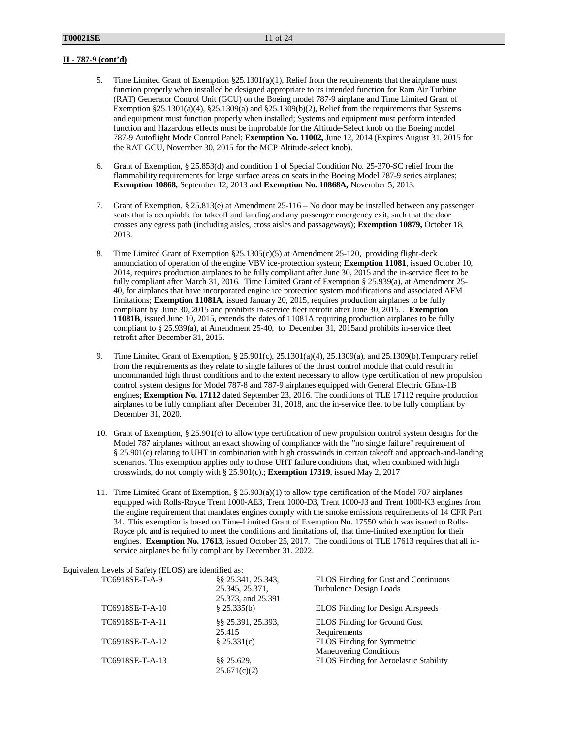- 5. Time Limited Grant of Exemption §25.1301(a)(1), Relief from the requirements that the airplane must function properly when installed be designed appropriate to its intended function for Ram Air Turbine (RAT) Generator Control Unit (GCU) on the Boeing model 787-9 airplane and Time Limited Grant of Exemption §25.1301(a)(4), §25.1309(a) and §25.1309(b)(2), Relief from the requirements that Systems and equipment must function properly when installed; Systems and equipment must perform intended function and Hazardous effects must be improbable for the Altitude-Select knob on the Boeing model 787-9 Autoflight Mode Control Panel; **Exemption No. 11002,** June 12, 2014 (Expires August 31, 2015 for the RAT GCU, November 30, 2015 for the MCP Altitude-select knob).
- 6. Grant of Exemption, § 25.853(d) and condition 1 of Special Condition No. 25-370-SC relief from the flammability requirements for large surface areas on seats in the Boeing Model 787-9 series airplanes; **Exemption 10868,** September 12, 2013 and **Exemption No. 10868A,** November 5, 2013.
- 7. Grant of Exemption, § 25.813(e) at Amendment 25-116 No door may be installed between any passenger seats that is occupiable for takeoff and landing and any passenger emergency exit, such that the door crosses any egress path (including aisles, cross aisles and passageways); **Exemption 10879,** October 18, 2013.
- 8. Time Limited Grant of Exemption §25.1305(c)(5) at Amendment 25-120, providing flight-deck annunciation of operation of the engine VBV ice-protection system; **Exemption 11081**, issued October 10, 2014, requires production airplanes to be fully compliant after June 30, 2015 and the in-service fleet to be fully compliant after March 31, 2016. Time Limited Grant of Exemption § 25.939(a), at Amendment 25- 40, for airplanes that have incorporated engine ice protection system modifications and associated AFM limitations; **Exemption 11081A**, issued January 20, 2015, requires production airplanes to be fully compliant by June 30, 2015 and prohibits in-service fleet retrofit after June 30, 2015. . **Exemption 11081B**, issued June 10, 2015, extends the dates of 11081A requiring production airplanes to be fully compliant to § 25.939(a), at Amendment 25-40, to December 31, 2015and prohibits in-service fleet retrofit after December 31, 2015.
- 9. Time Limited Grant of Exemption, § 25.901(c), 25.1301(a)(4), 25.1309(a), and 25.1309(b).Temporary relief from the requirements as they relate to single failures of the thrust control module that could result in uncommanded high thrust conditions and to the extent necessary to allow type certification of new propulsion control system designs for Model 787-8 and 787-9 airplanes equipped with General Electric GEnx-1B engines; **Exemption No. 17112** dated September 23, 2016. The conditions of TLE 17112 require production airplanes to be fully compliant after December 31, 2018, and the in-service fleet to be fully compliant by December 31, 2020.
- 10. Grant of Exemption,  $\S 25.901(c)$  to allow type certification of new propulsion control system designs for the Model 787 airplanes without an exact showing of compliance with the "no single failure" requirement of § 25.901(c) relating to UHT in combination with high crosswinds in certain takeoff and approach-and-landing scenarios. This exemption applies only to those UHT failure conditions that, when combined with high crosswinds, do not comply with § 25.901(c).; **Exemption 17319**, issued May 2, 2017
- 11. Time Limited Grant of Exemption, § 25.903(a)(1) to allow type certification of the Model 787 airplanes equipped with Rolls-Royce Trent 1000-AE3, Trent 1000-D3, Trent 1000-J3 and Trent 1000-K3 engines from the engine requirement that mandates engines comply with the smoke emissions requirements of 14 CFR Part 34. This exemption is based on Time-Limited Grant of Exemption No. 17550 which was issued to Rolls-Royce plc and is required to meet the conditions and limitations of, that time-limited exemption for their engines. **Exemption No. 17613**, issued October 25, 2017. The conditions of TLE 17613 requires that all inservice airplanes be fully compliant by December 31, 2022.

|--|

| TC6918SE-T-A-9  | \$§ 25.341, 25.343,  | <b>ELOS</b> Finding for Gust and Continuous |
|-----------------|----------------------|---------------------------------------------|
|                 | 25.345, 25.371,      | Turbulence Design Loads                     |
|                 | 25.373, and 25.391   |                                             |
| TC6918SE-T-A-10 | \$25.335(b)          | <b>ELOS</b> Finding for Design Airspeeds    |
| TC6918SE-T-A-11 | \$\$ 25.391, 25.393, | <b>ELOS</b> Finding for Ground Gust         |
|                 | 25.415               | Requirements                                |
| TC6918SE-T-A-12 | \$25.331(c)          | <b>ELOS</b> Finding for Symmetric           |
|                 |                      | <b>Maneuvering Conditions</b>               |
| TC6918SE-T-A-13 | $§$ § 25.629,        | ELOS Finding for Aeroelastic Stability      |
|                 | 25.671(c)(2)         |                                             |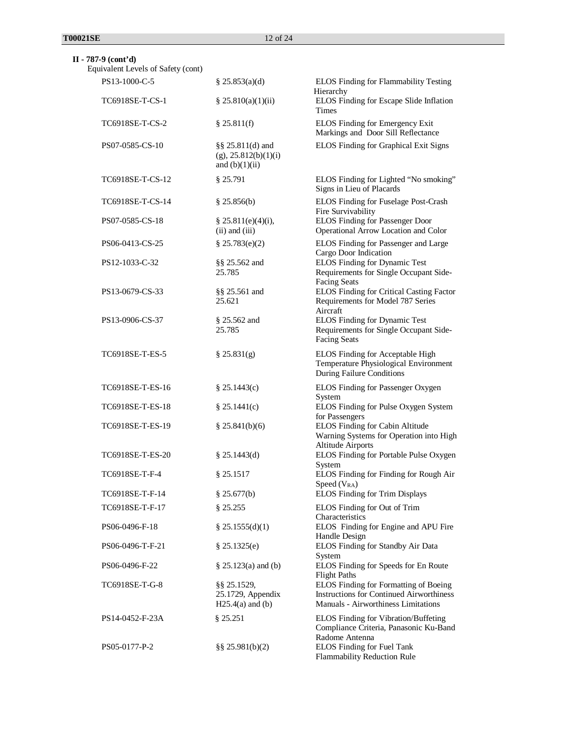| $II - 787-9$ (cont'd)<br>Equivalent Levels of Safety (cont) |                                                                 |                                                                                                                                 |
|-------------------------------------------------------------|-----------------------------------------------------------------|---------------------------------------------------------------------------------------------------------------------------------|
| PS13-1000-C-5                                               | $\S$ 25.853(a)(d)                                               | ELOS Finding for Flammability Testing                                                                                           |
| TC6918SE-T-CS-1                                             | \$25.810(a)(1)(ii)                                              | Hierarchy<br>ELOS Finding for Escape Slide Inflation<br><b>Times</b>                                                            |
| TC6918SE-T-CS-2                                             | \$25.811(f)                                                     | ELOS Finding for Emergency Exit<br>Markings and Door Sill Reflectance                                                           |
| PS07-0585-CS-10                                             | §§ 25.811(d) and<br>$(g)$ , 25.812(b)(1)(i)<br>and $(b)(1)(ii)$ | ELOS Finding for Graphical Exit Signs                                                                                           |
| TC6918SE-T-CS-12                                            | \$25.791                                                        | ELOS Finding for Lighted "No smoking"<br>Signs in Lieu of Placards                                                              |
| TC6918SE-T-CS-14                                            | \$25.856(b)                                                     | ELOS Finding for Fuselage Post-Crash<br>Fire Survivability                                                                      |
| PS07-0585-CS-18                                             | \$25.811(e)(4)(i),<br>$(ii)$ and $(iii)$                        | ELOS Finding for Passenger Door<br>Operational Arrow Location and Color                                                         |
| PS06-0413-CS-25                                             | \$25.783(e)(2)                                                  | ELOS Finding for Passenger and Large<br>Cargo Door Indication                                                                   |
| PS12-1033-C-32                                              | §§ 25.562 and<br>25.785                                         | ELOS Finding for Dynamic Test<br>Requirements for Single Occupant Side-<br><b>Facing Seats</b>                                  |
| PS13-0679-CS-33                                             | §§ 25.561 and<br>25.621                                         | ELOS Finding for Critical Casting Factor<br>Requirements for Model 787 Series                                                   |
| PS13-0906-CS-37                                             | $$25.562$ and<br>25.785                                         | Aircraft<br><b>ELOS</b> Finding for Dynamic Test<br>Requirements for Single Occupant Side-<br><b>Facing Seats</b>               |
| TC6918SE-T-ES-5                                             | \$25.831(g)                                                     | ELOS Finding for Acceptable High<br>Temperature Physiological Environment<br>During Failure Conditions                          |
| TC6918SE-T-ES-16                                            | \$25.1443(c)                                                    | ELOS Finding for Passenger Oxygen<br>System                                                                                     |
| TC6918SE-T-ES-18                                            | \$25.1441(c)                                                    | ELOS Finding for Pulse Oxygen System<br>for Passengers                                                                          |
| TC6918SE-T-ES-19                                            | \$25.841(b)(6)                                                  | ELOS Finding for Cabin Altitude<br>Warning Systems for Operation into High<br><b>Altitude Airports</b>                          |
| TC6918SE-T-ES-20                                            | \$25.1443(d)                                                    | ELOS Finding for Portable Pulse Oxygen<br>System                                                                                |
| TC6918SE-T-F-4                                              | § 25.1517                                                       | ELOS Finding for Finding for Rough Air<br>Speed (V <sub>RA</sub> )                                                              |
| TC6918SE-T-F-14                                             | § 25.677(b)                                                     | <b>ELOS</b> Finding for Trim Displays                                                                                           |
| TC6918SE-T-F-17                                             | § 25.255                                                        | ELOS Finding for Out of Trim                                                                                                    |
| PS06-0496-F-18                                              | \$25.1555(d)(1)                                                 | Characteristics<br>ELOS Finding for Engine and APU Fire<br>Handle Design                                                        |
| PS06-0496-T-F-21                                            | \$25.1325(e)                                                    | ELOS Finding for Standby Air Data<br>System                                                                                     |
| PS06-0496-F-22                                              | $§$ 25.123(a) and (b)                                           | ELOS Finding for Speeds for En Route<br><b>Flight Paths</b>                                                                     |
| TC6918SE-T-G-8                                              | $\S$ § 25.1529,<br>25.1729, Appendix<br>$H25.4(a)$ and (b)      | ELOS Finding for Formatting of Boeing<br><b>Instructions for Continued Airworthiness</b><br>Manuals - Airworthiness Limitations |
| PS14-0452-F-23A                                             | \$25.251                                                        | ELOS Finding for Vibration/Buffeting<br>Compliance Criteria, Panasonic Ku-Band                                                  |
| PS05-0177-P-2                                               | $\S$ § 25.981(b)(2)                                             | Radome Antenna<br>ELOS Finding for Fuel Tank<br>Flammability Reduction Rule                                                     |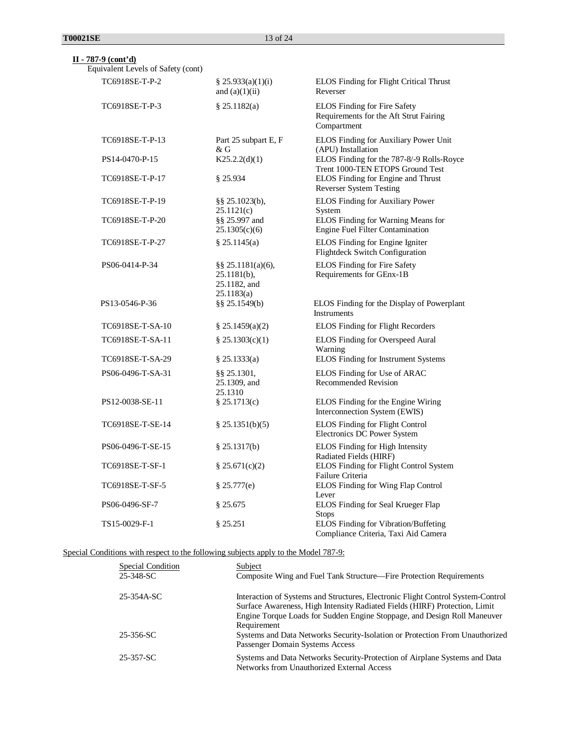Equivalent Levels of Safety (cont)

| TC6918SE-T-P-2    | § 25.933(a)(1)(i)<br>and $(a)(1)(ii)$                                 | ELOS Finding for Flight Critical Thrust<br>Reverser                                   |
|-------------------|-----------------------------------------------------------------------|---------------------------------------------------------------------------------------|
| TC6918SE-T-P-3    | \$25.1182(a)                                                          | ELOS Finding for Fire Safety<br>Requirements for the Aft Strut Fairing<br>Compartment |
| TC6918SE-T-P-13   | Part 25 subpart E, F<br>& G                                           | ELOS Finding for Auxiliary Power Unit<br>(APU) Installation                           |
| PS14-0470-P-15    | K25.2.2(d)(1)                                                         | ELOS Finding for the 787-8/-9 Rolls-Royce<br>Trent 1000-TEN ETOPS Ground Test         |
| TC6918SE-T-P-17   | \$25.934                                                              | ELOS Finding for Engine and Thrust<br><b>Reverser System Testing</b>                  |
| TC6918SE-T-P-19   | §§ 25.1023(b),<br>25.1121(c)                                          | ELOS Finding for Auxiliary Power<br>System                                            |
| TC6918SE-T-P-20   | §§ 25.997 and<br>25.1305(c)(6)                                        | ELOS Finding for Warning Means for<br><b>Engine Fuel Filter Contamination</b>         |
| TC6918SE-T-P-27   | § 25.1145(a)                                                          | ELOS Finding for Engine Igniter<br>Flightdeck Switch Configuration                    |
| PS06-0414-P-34    | $\S$ § 25.1181(a)(6),<br>$25.1181(b)$ ,<br>25.1182, and<br>25.1183(a) | <b>ELOS</b> Finding for Fire Safety<br>Requirements for GEnx-1B                       |
| PS13-0546-P-36    | §§ 25.1549(b)                                                         | ELOS Finding for the Display of Powerplant<br>Instruments                             |
| TC6918SE-T-SA-10  | $\frac{8}{9}$ 25.1459(a)(2)                                           | ELOS Finding for Flight Recorders                                                     |
| TC6918SE-T-SA-11  | \$25.1303(c)(1)                                                       | ELOS Finding for Overspeed Aural<br>Warning                                           |
| TC6918SE-T-SA-29  | § 25.1333(a)                                                          | ELOS Finding for Instrument Systems                                                   |
| PS06-0496-T-SA-31 | \$\$ 25.1301,<br>25.1309, and<br>25.1310                              | ELOS Finding for Use of ARAC<br><b>Recommended Revision</b>                           |
| PS12-0038-SE-11   | § 25.1713(c)                                                          | ELOS Finding for the Engine Wiring<br>Interconnection System (EWIS)                   |
| TC6918SE-T-SE-14  | \$25.1351(b)(5)                                                       | ELOS Finding for Flight Control<br>Electronics DC Power System                        |
| PS06-0496-T-SE-15 | \$25.1317(b)                                                          | ELOS Finding for High Intensity<br>Radiated Fields (HIRF)                             |
| TC6918SE-T-SF-1   | \$25.671(c)(2)                                                        | ELOS Finding for Flight Control System<br>Failure Criteria                            |
| TC6918SE-T-SF-5   | \$25.777(e)                                                           | ELOS Finding for Wing Flap Control<br>Lever                                           |
| PS06-0496-SF-7    | § 25.675                                                              | ELOS Finding for Seal Krueger Flap<br><b>Stops</b>                                    |
| TS15-0029-F-1     | § 25.251                                                              | ELOS Finding for Vibration/Buffeting<br>Compliance Criteria, Taxi Aid Camera          |

## Special Conditions with respect to the following subjects apply to the Model 787-9:

| Special Condition<br>25-348-SC | Subject<br>Composite Wing and Fuel Tank Structure—Fire Protection Requirements                                                                                                                                                                           |
|--------------------------------|----------------------------------------------------------------------------------------------------------------------------------------------------------------------------------------------------------------------------------------------------------|
| 25-354A-SC                     | Interaction of Systems and Structures, Electronic Flight Control System-Control<br>Surface Awareness, High Intensity Radiated Fields (HIRF) Protection, Limit<br>Engine Torque Loads for Sudden Engine Stoppage, and Design Roll Maneuver<br>Requirement |
| 25-356-SC                      | Systems and Data Networks Security-Isolation or Protection From Unauthorized<br>Passenger Domain Systems Access                                                                                                                                          |
| 25-357-SC                      | Systems and Data Networks Security-Protection of Airplane Systems and Data<br>Networks from Unauthorized External Access                                                                                                                                 |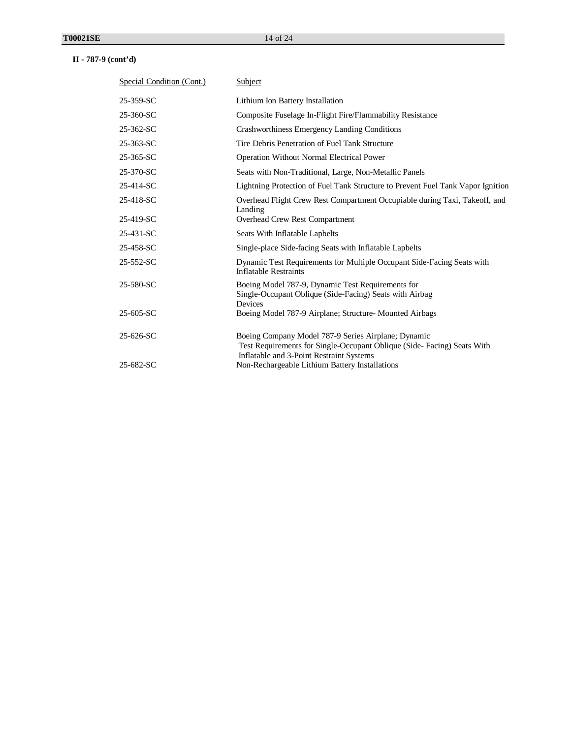| Special Condition (Cont.) | Subject                                                                                                                       |  |
|---------------------------|-------------------------------------------------------------------------------------------------------------------------------|--|
| 25-359-SC                 | Lithium Ion Battery Installation                                                                                              |  |
| 25-360-SC                 | Composite Fuselage In-Flight Fire/Flammability Resistance                                                                     |  |
| 25-362-SC                 | Crashworthiness Emergency Landing Conditions                                                                                  |  |
| 25-363-SC                 | Tire Debris Penetration of Fuel Tank Structure                                                                                |  |
| 25-365-SC                 | <b>Operation Without Normal Electrical Power</b>                                                                              |  |
| 25-370-SC                 | Seats with Non-Traditional, Large, Non-Metallic Panels                                                                        |  |
| 25-414-SC                 | Lightning Protection of Fuel Tank Structure to Prevent Fuel Tank Vapor Ignition                                               |  |
| 25-418-SC                 | Overhead Flight Crew Rest Compartment Occupiable during Taxi, Takeoff, and<br>Landing                                         |  |
| 25-419-SC                 | Overhead Crew Rest Compartment                                                                                                |  |
| 25-431-SC                 | Seats With Inflatable Lapbelts                                                                                                |  |
| 25-458-SC                 | Single-place Side-facing Seats with Inflatable Lapbelts                                                                       |  |
| 25-552-SC                 | Dynamic Test Requirements for Multiple Occupant Side-Facing Seats with<br><b>Inflatable Restraints</b>                        |  |
| 25-580-SC                 | Boeing Model 787-9, Dynamic Test Requirements for<br>Single-Occupant Oblique (Side-Facing) Seats with Airbag<br>Devices       |  |
| 25-605-SC                 | Boeing Model 787-9 Airplane; Structure- Mounted Airbags                                                                       |  |
| 25-626-SC                 | Boeing Company Model 787-9 Series Airplane; Dynamic<br>Test Requirements for Single-Occupant Oblique (Side-Facing) Seats With |  |
| 25-682-SC                 | Inflatable and 3-Point Restraint Systems<br>Non-Rechargeable Lithium Battery Installations                                    |  |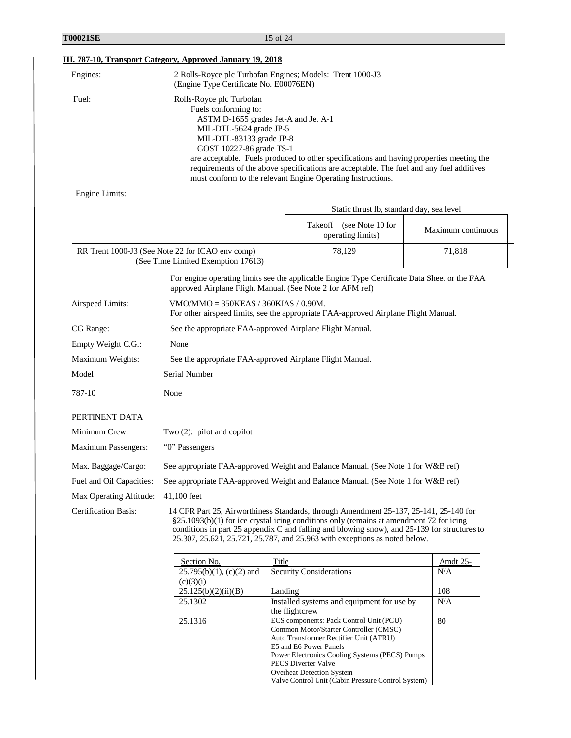| Engines:                    | 2 Rolls-Royce plc Turbofan Engines; Models: Trent 1000-J3<br>(Engine Type Certificate No. E00076EN)                                                                         |                                                                                                                                                                                                                                                                                                                                                                |                    |  |
|-----------------------------|-----------------------------------------------------------------------------------------------------------------------------------------------------------------------------|----------------------------------------------------------------------------------------------------------------------------------------------------------------------------------------------------------------------------------------------------------------------------------------------------------------------------------------------------------------|--------------------|--|
| Fuel:                       | Rolls-Royce plc Turbofan<br>Fuels conforming to:<br>ASTM D-1655 grades Jet-A and Jet A-1<br>MIL-DTL-5624 grade JP-5<br>MIL-DTL-83133 grade JP-8<br>GOST 10227-86 grade TS-1 | are acceptable. Fuels produced to other specifications and having properties meeting the<br>requirements of the above specifications are acceptable. The fuel and any fuel additives<br>must conform to the relevant Engine Operating Instructions.                                                                                                            |                    |  |
| Engine Limits:              |                                                                                                                                                                             |                                                                                                                                                                                                                                                                                                                                                                |                    |  |
|                             |                                                                                                                                                                             | Static thrust lb, standard day, sea level                                                                                                                                                                                                                                                                                                                      |                    |  |
|                             |                                                                                                                                                                             | Takeoff (see Note 10 for<br>operating limits)                                                                                                                                                                                                                                                                                                                  | Maximum continuous |  |
|                             | RR Trent 1000-J3 (See Note 22 for ICAO env comp)<br>(See Time Limited Exemption 17613)                                                                                      | 78,129                                                                                                                                                                                                                                                                                                                                                         | 71,818             |  |
|                             | approved Airplane Flight Manual. (See Note 2 for AFM ref)                                                                                                                   | For engine operating limits see the applicable Engine Type Certificate Data Sheet or the FAA                                                                                                                                                                                                                                                                   |                    |  |
| Airspeed Limits:            | $VMO/MMO = 350KEAS / 360KIAS / 0.90M.$<br>For other airspeed limits, see the appropriate FAA-approved Airplane Flight Manual.                                               |                                                                                                                                                                                                                                                                                                                                                                |                    |  |
| CG Range:                   | See the appropriate FAA-approved Airplane Flight Manual.                                                                                                                    |                                                                                                                                                                                                                                                                                                                                                                |                    |  |
| Empty Weight C.G.:          | None                                                                                                                                                                        |                                                                                                                                                                                                                                                                                                                                                                |                    |  |
| Maximum Weights:            | See the appropriate FAA-approved Airplane Flight Manual.                                                                                                                    |                                                                                                                                                                                                                                                                                                                                                                |                    |  |
| Model                       | Serial Number                                                                                                                                                               |                                                                                                                                                                                                                                                                                                                                                                |                    |  |
| 787-10                      | None                                                                                                                                                                        |                                                                                                                                                                                                                                                                                                                                                                |                    |  |
| PERTINENT DATA              |                                                                                                                                                                             |                                                                                                                                                                                                                                                                                                                                                                |                    |  |
| Minimum Crew:               | Two $(2)$ : pilot and copilot                                                                                                                                               |                                                                                                                                                                                                                                                                                                                                                                |                    |  |
| <b>Maximum Passengers:</b>  | "O" Passengers                                                                                                                                                              |                                                                                                                                                                                                                                                                                                                                                                |                    |  |
| Max. Baggage/Cargo:         |                                                                                                                                                                             | See appropriate FAA-approved Weight and Balance Manual. (See Note 1 for W&B ref)                                                                                                                                                                                                                                                                               |                    |  |
| Fuel and Oil Capacities:    | See appropriate FAA-approved Weight and Balance Manual. (See Note 1 for W&B ref)                                                                                            |                                                                                                                                                                                                                                                                                                                                                                |                    |  |
| Max Operating Altitude:     | 41,100 feet                                                                                                                                                                 |                                                                                                                                                                                                                                                                                                                                                                |                    |  |
| <b>Certification Basis:</b> |                                                                                                                                                                             | 14 CFR Part 25, Airworthiness Standards, through Amendment 25-137, 25-141, 25-140 for<br>§25.1093(b)(1) for ice crystal icing conditions only (remains at amendment 72 for icing<br>conditions in part 25 appendix C and falling and blowing snow), and 25-139 for structures to<br>25.307, 25.621, 25.721, 25.787, and 25.963 with exceptions as noted below. |                    |  |
|                             | $C_{\text{oution}}$ $M_{\odot}$<br>$T^*$ and $\sim$                                                                                                                         |                                                                                                                                                                                                                                                                                                                                                                |                    |  |

| Section No.                 | Title                                              | Amdt 25- |
|-----------------------------|----------------------------------------------------|----------|
| $25.795(b)(1)$ , (c)(2) and | <b>Security Considerations</b>                     | N/A      |
| (c)(3)(i)                   |                                                    |          |
| 25.125(b)(2)(ii)(B)         | Landing                                            | 108      |
| 25.1302                     | Installed systems and equipment for use by         | N/A      |
|                             | the flightcrew                                     |          |
| 25.1316                     | ECS components: Pack Control Unit (PCU)            | 80       |
|                             | Common Motor/Starter Controller (CMSC)             |          |
|                             | Auto Transformer Rectifier Unit (ATRU)             |          |
|                             | E5 and E6 Power Panels                             |          |
|                             | Power Electronics Cooling Systems (PECS) Pumps     |          |
|                             | PECS Diverter Valve                                |          |
|                             | <b>Overheat Detection System</b>                   |          |
|                             | Valve Control Unit (Cabin Pressure Control System) |          |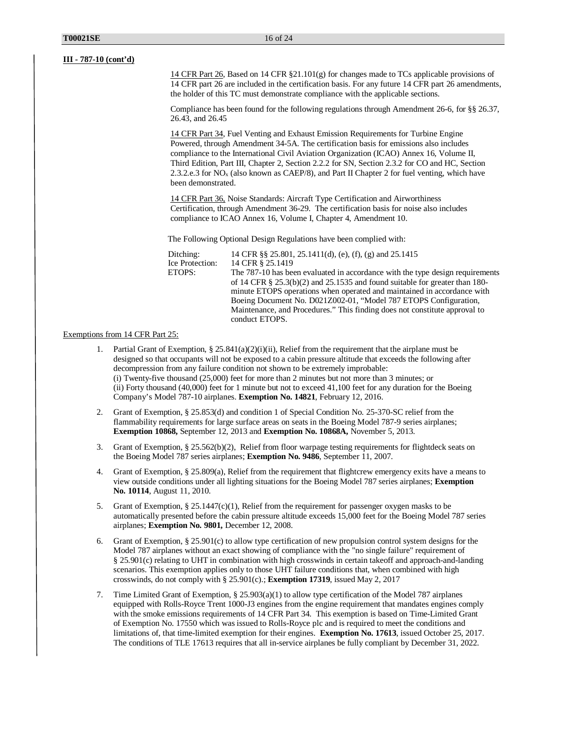14 CFR Part 26, Based on 14 CFR §21.101(g) for changes made to TCs applicable provisions of 14 CFR part 26 are included in the certification basis. For any future 14 CFR part 26 amendments, the holder of this TC must demonstrate compliance with the applicable sections.

Compliance has been found for the following regulations through Amendment 26-6, for §§ 26.37, 26.43, and 26.45

14 CFR Part 34, Fuel Venting and Exhaust Emission Requirements for Turbine Engine Powered, through Amendment 34-5A. The certification basis for emissions also includes compliance to the International Civil Aviation Organization (ICAO) Annex 16, Volume II, Third Edition, Part III, Chapter 2, Section 2.2.2 for SN, Section 2.3.2 for CO and HC, Section 2.3.2.e.3 for NOx (also known as CAEP/8), and Part II Chapter 2 for fuel venting, which have been demonstrated.

14 CFR Part 36, Noise Standards: Aircraft Type Certification and Airworthiness Certification, through Amendment 36-29. The certification basis for noise also includes compliance to ICAO Annex 16, Volume I, Chapter 4, Amendment 10.

The Following Optional Design Regulations have been complied with:

| The 787-10 has been evaluated in accordance with the type design requirements  |
|--------------------------------------------------------------------------------|
| of 14 CFR $\S$ 25.3(b)(2) and 25.1535 and found suitable for greater than 180- |
| minute ETOPS operations when operated and maintained in accordance with        |
| Boeing Document No. D021Z002-01, "Model 787 ETOPS Configuration,               |
| Maintenance, and Procedures." This finding does not constitute approval to     |
|                                                                                |
|                                                                                |

#### Exemptions from 14 CFR Part 25:

- Partial Grant of Exemption, § 25.841(a)(2)(i)(ii), Relief from the requirement that the airplane must be designed so that occupants will not be exposed to a cabin pressure altitude that exceeds the following after decompression from any failure condition not shown to be extremely improbable: (i) Twenty-five thousand (25,000) feet for more than 2 minutes but not more than 3 minutes; or (ii) Forty thousand (40,000) feet for 1 minute but not to exceed 41,100 feet for any duration for the Boeing Company's Model 787-10 airplanes. **Exemption No. 14821**, February 12, 2016.
- 2. Grant of Exemption, § 25.853(d) and condition 1 of Special Condition No. 25-370-SC relief from the flammability requirements for large surface areas on seats in the Boeing Model 787-9 series airplanes; **Exemption 10868,** September 12, 2013 and **Exemption No. 10868A,** November 5, 2013.
- 3. Grant of Exemption, § 25.562(b)(2), Relief from floor warpage testing requirements for flightdeck seats on the Boeing Model 787 series airplanes; **Exemption No. 9486**, September 11, 2007.
- 4. Grant of Exemption, § 25.809(a), Relief from the requirement that flightcrew emergency exits have a means to view outside conditions under all lighting situations for the Boeing Model 787 series airplanes; **Exemption No. 10114**, August 11, 2010.
- 5. Grant of Exemption, § 25.1447(c)(1), Relief from the requirement for passenger oxygen masks to be automatically presented before the cabin pressure altitude exceeds 15,000 feet for the Boeing Model 787 series airplanes; **Exemption No. 9801,** December 12, 2008.
- 6. Grant of Exemption, § 25.901(c) to allow type certification of new propulsion control system designs for the Model 787 airplanes without an exact showing of compliance with the "no single failure" requirement of § 25.901(c) relating to UHT in combination with high crosswinds in certain takeoff and approach-and-landing scenarios. This exemption applies only to those UHT failure conditions that, when combined with high crosswinds, do not comply with § 25.901(c).; **Exemption 17319**, issued May 2, 2017
- 7. Time Limited Grant of Exemption, § 25.903(a)(1) to allow type certification of the Model 787 airplanes equipped with Rolls-Royce Trent 1000-J3 engines from the engine requirement that mandates engines comply with the smoke emissions requirements of 14 CFR Part 34. This exemption is based on Time-Limited Grant of Exemption No. 17550 which was issued to Rolls-Royce plc and is required to meet the conditions and limitations of, that time-limited exemption for their engines. **Exemption No. 17613**, issued October 25, 2017. The conditions of TLE 17613 requires that all in-service airplanes be fully compliant by December 31, 2022.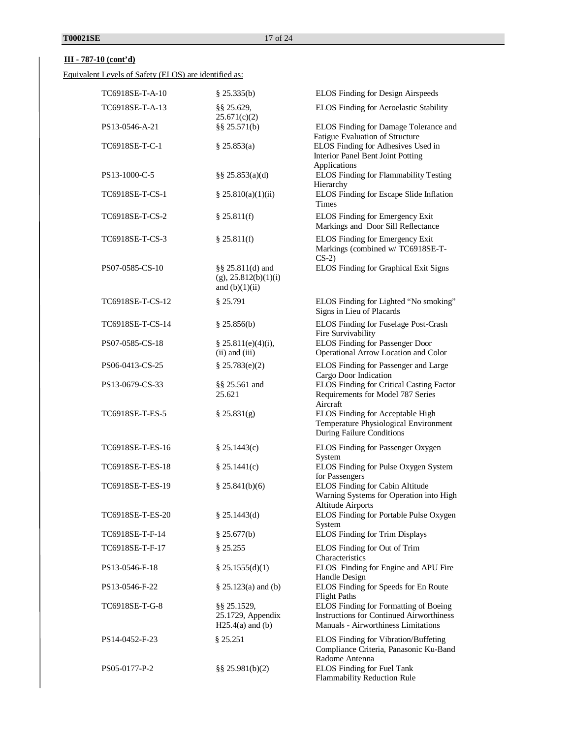Equivalent Levels of Safety (ELOS) are identified as:

| TC6918SE-T-A-10  | \$25.335(b)                                                         | ELOS Finding for Design Airspeeds                                                                                               |
|------------------|---------------------------------------------------------------------|---------------------------------------------------------------------------------------------------------------------------------|
| TC6918SE-T-A-13  | $§$ § 25.629,<br>25.671(c)(2)                                       | ELOS Finding for Aeroelastic Stability                                                                                          |
| PS13-0546-A-21   | §§ $25.571(b)$                                                      | ELOS Finding for Damage Tolerance and                                                                                           |
| TC6918SE-T-C-1   | \$25.853(a)                                                         | Fatigue Evaluation of Structure<br>ELOS Finding for Adhesives Used in<br>Interior Panel Bent Joint Potting<br>Applications      |
| PS13-1000-C-5    | $\S$ § 25.853(a)(d)                                                 | ELOS Finding for Flammability Testing<br>Hierarchy                                                                              |
| TC6918SE-T-CS-1  | \$25.810(a)(1)(ii)                                                  | ELOS Finding for Escape Slide Inflation<br><b>Times</b>                                                                         |
| TC6918SE-T-CS-2  | \$25.811(f)                                                         | ELOS Finding for Emergency Exit<br>Markings and Door Sill Reflectance                                                           |
| TC6918SE-T-CS-3  | \$25.811(f)                                                         | ELOS Finding for Emergency Exit<br>Markings (combined w/TC6918SE-T-<br>$CS-2$                                                   |
| PS07-0585-CS-10  | $\S$ § 25.811(d) and<br>$(g)$ , 25.812(b)(1)(i)<br>and $(b)(1)(ii)$ | ELOS Finding for Graphical Exit Signs                                                                                           |
| TC6918SE-T-CS-12 | § 25.791                                                            | ELOS Finding for Lighted "No smoking"<br>Signs in Lieu of Placards                                                              |
| TC6918SE-T-CS-14 | \$25.856(b)                                                         | ELOS Finding for Fuselage Post-Crash<br>Fire Survivability                                                                      |
| PS07-0585-CS-18  | \$25.811(e)(4)(i),<br>$(ii)$ and $(iii)$                            | ELOS Finding for Passenger Door<br>Operational Arrow Location and Color                                                         |
| PS06-0413-CS-25  | \$25.783(e)(2)                                                      | ELOS Finding for Passenger and Large<br>Cargo Door Indication                                                                   |
| PS13-0679-CS-33  | §§ 25.561 and<br>25.621                                             | ELOS Finding for Critical Casting Factor<br>Requirements for Model 787 Series<br>Aircraft                                       |
| TC6918SE-T-ES-5  | \$25.831(g)                                                         | ELOS Finding for Acceptable High<br>Temperature Physiological Environment<br>During Failure Conditions                          |
| TC6918SE-T-ES-16 | \$25.1443(c)                                                        | ELOS Finding for Passenger Oxygen<br>System                                                                                     |
| TC6918SE-T-ES-18 | \$25.1441(c)                                                        | ELOS Finding for Pulse Oxygen System<br>for Passengers                                                                          |
| TC6918SE-T-ES-19 | \$25.841(b)(6)                                                      | ELOS Finding for Cabin Altitude<br>Warning Systems for Operation into High<br><b>Altitude Airports</b>                          |
| TC6918SE-T-ES-20 | \$25.1443(d)                                                        | ELOS Finding for Portable Pulse Oxygen<br>System                                                                                |
| TC6918SE-T-F-14  | \$25.677(b)                                                         | ELOS Finding for Trim Displays                                                                                                  |
| TC6918SE-T-F-17  | \$25.255                                                            | ELOS Finding for Out of Trim<br>Characteristics                                                                                 |
| PS13-0546-F-18   | \$25.1555(d)(1)                                                     | ELOS Finding for Engine and APU Fire<br>Handle Design                                                                           |
| PS13-0546-F-22   | $§$ 25.123(a) and (b)                                               | ELOS Finding for Speeds for En Route<br><b>Flight Paths</b>                                                                     |
| TC6918SE-T-G-8   | $\S$ 25.1529,<br>25.1729, Appendix<br>$H25.4(a)$ and (b)            | ELOS Finding for Formatting of Boeing<br><b>Instructions for Continued Airworthiness</b><br>Manuals - Airworthiness Limitations |
| PS14-0452-F-23   | § 25.251                                                            | ELOS Finding for Vibration/Buffeting<br>Compliance Criteria, Panasonic Ku-Band                                                  |
| PS05-0177-P-2    | $\S$ § 25.981(b)(2)                                                 | Radome Antenna<br>ELOS Finding for Fuel Tank<br>Flammability Reduction Rule                                                     |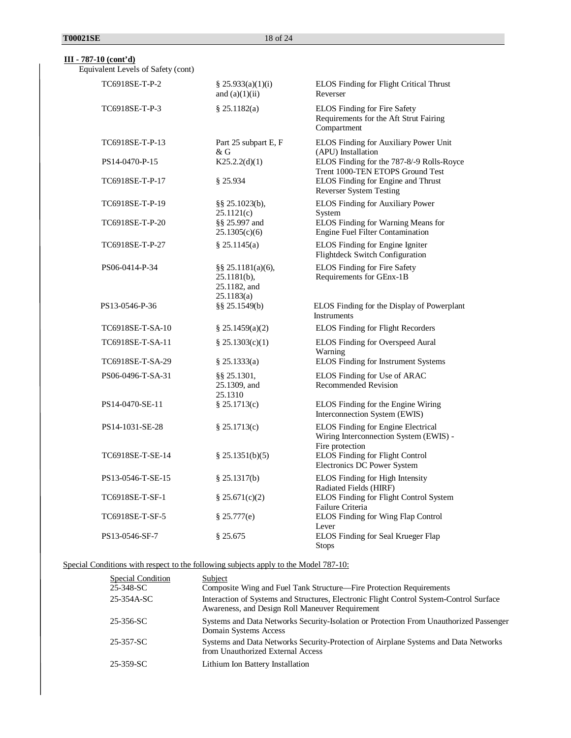Equivalent Levels of Safety (cont)

| TC6918SE-T-P-2    | $\frac{8}{2}$ 25.933(a)(1)(i)<br>and $(a)(1)(ii)$                 | ELOS Finding for Flight Critical Thrust<br>Reverser                                                    |
|-------------------|-------------------------------------------------------------------|--------------------------------------------------------------------------------------------------------|
| TC6918SE-T-P-3    | \$25.1182(a)                                                      | ELOS Finding for Fire Safety<br>Requirements for the Aft Strut Fairing<br>Compartment                  |
| TC6918SE-T-P-13   | Part 25 subpart E, F<br>& G                                       | ELOS Finding for Auxiliary Power Unit<br>(APU) Installation                                            |
| PS14-0470-P-15    | K25.2.2(d)(1)                                                     | ELOS Finding for the 787-8/-9 Rolls-Royce<br>Trent 1000-TEN ETOPS Ground Test                          |
| TC6918SE-T-P-17   | $§$ 25.934                                                        | ELOS Finding for Engine and Thrust<br><b>Reverser System Testing</b>                                   |
| TC6918SE-T-P-19   | $\S$ § 25.1023(b),<br>25.1121(c)                                  | ELOS Finding for Auxiliary Power<br>System                                                             |
| TC6918SE-T-P-20   | §§ 25.997 and<br>25.1305(c)(6)                                    | ELOS Finding for Warning Means for<br><b>Engine Fuel Filter Contamination</b>                          |
| TC6918SE-T-P-27   | § 25.1145(a)                                                      | ELOS Finding for Engine Igniter<br>Flightdeck Switch Configuration                                     |
| PS06-0414-P-34    | §§ 25.1181(a)(6),<br>$25.1181(b)$ ,<br>25.1182, and<br>25.1183(a) | ELOS Finding for Fire Safety<br>Requirements for GEnx-1B                                               |
| PS13-0546-P-36    | §§ 25.1549(b)                                                     | ELOS Finding for the Display of Powerplant<br><b>Instruments</b>                                       |
| TC6918SE-T-SA-10  | $\S$ 25.1459(a)(2)                                                | ELOS Finding for Flight Recorders                                                                      |
| TC6918SE-T-SA-11  | \$25.1303(c)(1)                                                   | ELOS Finding for Overspeed Aural<br>Warning                                                            |
| TC6918SE-T-SA-29  | § 25.1333(a)                                                      | ELOS Finding for Instrument Systems                                                                    |
| PS06-0496-T-SA-31 | §§ 25.1301,<br>25.1309, and<br>25.1310                            | ELOS Finding for Use of ARAC<br><b>Recommended Revision</b>                                            |
| PS14-0470-SE-11   | \$25.1713(c)                                                      | ELOS Finding for the Engine Wiring<br>Interconnection System (EWIS)                                    |
| PS14-1031-SE-28   | \$25.1713(c)                                                      | <b>ELOS Finding for Engine Electrical</b><br>Wiring Interconnection System (EWIS) -<br>Fire protection |
| TC6918SE-T-SE-14  | § 25.1351(b)(5)                                                   | <b>ELOS Finding for Flight Control</b><br>Electronics DC Power System                                  |
| PS13-0546-T-SE-15 | $§$ 25.1317(b)                                                    | ELOS Finding for High Intensity<br>Radiated Fields (HIRF)                                              |
| TC6918SE-T-SF-1   | \$25.671(c)(2)                                                    | ELOS Finding for Flight Control System<br>Failure Criteria                                             |
| TC6918SE-T-SF-5   | \$25.777(e)                                                       | ELOS Finding for Wing Flap Control<br>Lever                                                            |
| PS13-0546-SF-7    | § 25.675                                                          | ELOS Finding for Seal Krueger Flap<br><b>Stops</b>                                                     |

Special Conditions with respect to the following subjects apply to the Model 787-10:

| Special Condition<br>25-348-SC<br>25-354A-SC | Subject<br>Composite Wing and Fuel Tank Structure—Fire Protection Requirements<br>Interaction of Systems and Structures, Electronic Flight Control System-Control Surface<br>Awareness, and Design Roll Maneuver Requirement |
|----------------------------------------------|------------------------------------------------------------------------------------------------------------------------------------------------------------------------------------------------------------------------------|
| 25-356-SC                                    | Systems and Data Networks Security-Isolation or Protection From Unauthorized Passenger<br>Domain Systems Access                                                                                                              |
| 25-357-SC                                    | Systems and Data Networks Security-Protection of Airplane Systems and Data Networks<br>from Unauthorized External Access                                                                                                     |
| 25-359-SC                                    | Lithium Ion Battery Installation                                                                                                                                                                                             |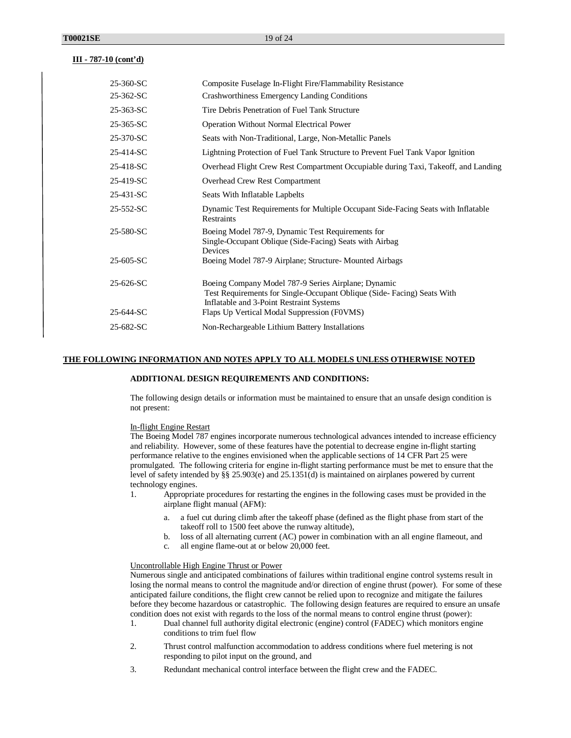| 25-360-SC | Composite Fuselage In-Flight Fire/Flammability Resistance                                                                                                                 |
|-----------|---------------------------------------------------------------------------------------------------------------------------------------------------------------------------|
| 25-362-SC | Crashworthiness Emergency Landing Conditions                                                                                                                              |
| 25-363-SC | Tire Debris Penetration of Fuel Tank Structure                                                                                                                            |
| 25-365-SC | <b>Operation Without Normal Electrical Power</b>                                                                                                                          |
| 25-370-SC | Seats with Non-Traditional, Large, Non-Metallic Panels                                                                                                                    |
| 25-414-SC | Lightning Protection of Fuel Tank Structure to Prevent Fuel Tank Vapor Ignition                                                                                           |
| 25-418-SC | Overhead Flight Crew Rest Compartment Occupiable during Taxi, Takeoff, and Landing                                                                                        |
| 25-419-SC | Overhead Crew Rest Compartment                                                                                                                                            |
| 25-431-SC | Seats With Inflatable Lapbelts                                                                                                                                            |
| 25-552-SC | Dynamic Test Requirements for Multiple Occupant Side-Facing Seats with Inflatable<br>Restraints                                                                           |
| 25-580-SC | Boeing Model 787-9, Dynamic Test Requirements for<br>Single-Occupant Oblique (Side-Facing) Seats with Airbag<br>Devices                                                   |
| 25-605-SC | Boeing Model 787-9 Airplane; Structure- Mounted Airbags                                                                                                                   |
| 25-626-SC | Boeing Company Model 787-9 Series Airplane; Dynamic<br>Test Requirements for Single-Occupant Oblique (Side-Facing) Seats With<br>Inflatable and 3-Point Restraint Systems |
| 25-644-SC | Flaps Up Vertical Modal Suppression (F0VMS)                                                                                                                               |
| 25-682-SC | Non-Rechargeable Lithium Battery Installations                                                                                                                            |

### **THE FOLLOWING INFORMATION AND NOTES APPLY TO ALL MODELS UNLESS OTHERWISE NOTED**

### **ADDITIONAL DESIGN REQUIREMENTS AND CONDITIONS:**

The following design details or information must be maintained to ensure that an unsafe design condition is not present:

#### In-flight Engine Restart

The Boeing Model 787 engines incorporate numerous technological advances intended to increase efficiency and reliability. However, some of these features have the potential to decrease engine in-flight starting performance relative to the engines envisioned when the applicable sections of 14 CFR Part 25 were promulgated. The following criteria for engine in-flight starting performance must be met to ensure that the level of safety intended by §§ 25.903(e) and 25.1351(d) is maintained on airplanes powered by current technology engines.

- 1. Appropriate procedures for restarting the engines in the following cases must be provided in the airplane flight manual (AFM):
	- a. a fuel cut during climb after the takeoff phase (defined as the flight phase from start of the takeoff roll to 1500 feet above the runway altitude),
	- b. loss of all alternating current (AC) power in combination with an all engine flameout, and
	- c. all engine flame-out at or below 20,000 feet.

#### Uncontrollable High Engine Thrust or Power

Numerous single and anticipated combinations of failures within traditional engine control systems result in losing the normal means to control the magnitude and/or direction of engine thrust (power). For some of these anticipated failure conditions, the flight crew cannot be relied upon to recognize and mitigate the failures before they become hazardous or catastrophic. The following design features are required to ensure an unsafe condition does not exist with regards to the loss of the normal means to control engine thrust (power):

- 1. Dual channel full authority digital electronic (engine) control (FADEC) which monitors engine conditions to trim fuel flow
- 2. Thrust control malfunction accommodation to address conditions where fuel metering is not responding to pilot input on the ground, and
- 3. Redundant mechanical control interface between the flight crew and the FADEC.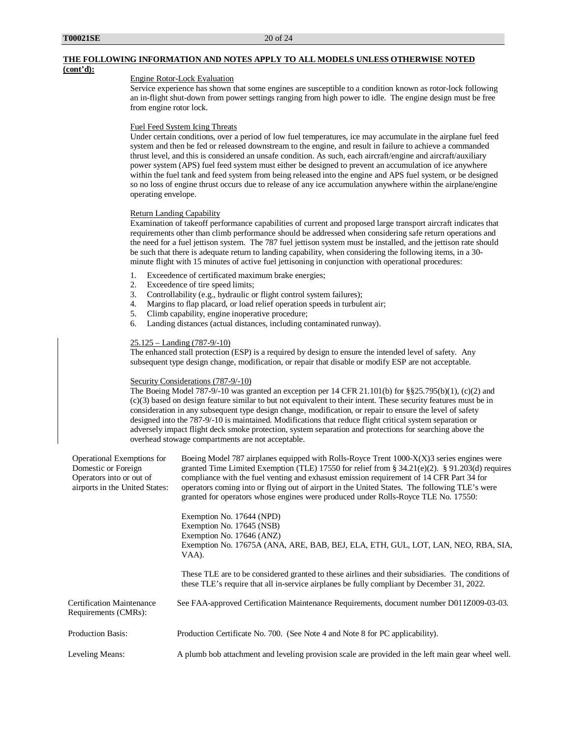## **THE FOLLOWING INFORMATION AND NOTES APPLY TO ALL MODELS UNLESS OTHERWISE NOTED**

### **(cont'd):**

### Engine Rotor-Lock Evaluation

Service experience has shown that some engines are susceptible to a condition known as rotor-lock following an in-flight shut-down from power settings ranging from high power to idle. The engine design must be free from engine rotor lock.

#### Fuel Feed System Icing Threats

Under certain conditions, over a period of low fuel temperatures, ice may accumulate in the airplane fuel feed system and then be fed or released downstream to the engine, and result in failure to achieve a commanded thrust level, and this is considered an unsafe condition. As such, each aircraft/engine and aircraft/auxiliary power system (APS) fuel feed system must either be designed to prevent an accumulation of ice anywhere within the fuel tank and feed system from being released into the engine and APS fuel system, or be designed so no loss of engine thrust occurs due to release of any ice accumulation anywhere within the airplane/engine operating envelope.

### Return Landing Capability

Examination of takeoff performance capabilities of current and proposed large transport aircraft indicates that requirements other than climb performance should be addressed when considering safe return operations and the need for a fuel jettison system. The 787 fuel jettison system must be installed, and the jettison rate should be such that there is adequate return to landing capability, when considering the following items, in a 30 minute flight with 15 minutes of active fuel jettisoning in conjunction with operational procedures:

- 1. Exceedence of certificated maximum brake energies;
- 2. Exceedence of tire speed limits;
- 3. Controllability (e.g., hydraulic or flight control system failures);
- 4. Margins to flap placard, or load relief operation speeds in turbulent air;
- 5. Climb capability, engine inoperative procedure;
- 6. Landing distances (actual distances, including contaminated runway).

#### 25.125 – Landing (787-9/-10)

The enhanced stall protection (ESP) is a required by design to ensure the intended level of safety. Any subsequent type design change, modification, or repair that disable or modify ESP are not acceptable.

#### Security Considerations (787-9/-10)

The Boeing Model 787-9/-10 was granted an exception per 14 CFR 21.101(b) for §§25.795(b)(1), (c)(2) and (c)(3) based on design feature similar to but not equivalent to their intent. These security features must be in consideration in any subsequent type design change, modification, or repair to ensure the level of safety designed into the 787-9/-10 is maintained. Modifications that reduce flight critical system separation or adversely impact flight deck smoke protection, system separation and protections for searching above the overhead stowage compartments are not acceptable.

| Operational Exemptions for<br>Domestic or Foreign<br>Operators into or out of<br>airports in the United States: | Boeing Model 787 airplanes equipped with Rolls-Royce Trent $1000-X(X)3$ series engines were<br>granted Time Limited Exemption (TLE) 17550 for relief from § $34.21(e)(2)$ . § $91.203(d)$ requires<br>compliance with the fuel venting and exhasust emission requirement of 14 CFR Part 34 for<br>operators coming into or flying out of airport in the United States. The following TLE's were<br>granted for operators whose engines were produced under Rolls-Royce TLE No. 17550: |
|-----------------------------------------------------------------------------------------------------------------|---------------------------------------------------------------------------------------------------------------------------------------------------------------------------------------------------------------------------------------------------------------------------------------------------------------------------------------------------------------------------------------------------------------------------------------------------------------------------------------|
|                                                                                                                 | Exemption No. 17644 (NPD)<br>Exemption No. 17645 (NSB)<br>Exemption No. 17646 (ANZ)<br>Exemption No. 17675A (ANA, ARE, BAB, BEJ, ELA, ETH, GUL, LOT, LAN, NEO, RBA, SIA,                                                                                                                                                                                                                                                                                                              |
|                                                                                                                 | VAA).<br>These TLE are to be considered granted to these airlines and their subsidiaries. The conditions of<br>these TLE's require that all in-service airplanes be fully compliant by December 31, 2022.                                                                                                                                                                                                                                                                             |
| <b>Certification Maintenance</b><br>Requirements (CMRs):                                                        | See FAA-approved Certification Maintenance Requirements, document number D011Z009-03-03.                                                                                                                                                                                                                                                                                                                                                                                              |
| <b>Production Basis:</b>                                                                                        | Production Certificate No. 700. (See Note 4 and Note 8 for PC applicability).                                                                                                                                                                                                                                                                                                                                                                                                         |
| Leveling Means:                                                                                                 | A plumb bob attachment and leveling provision scale are provided in the left main gear wheel well.                                                                                                                                                                                                                                                                                                                                                                                    |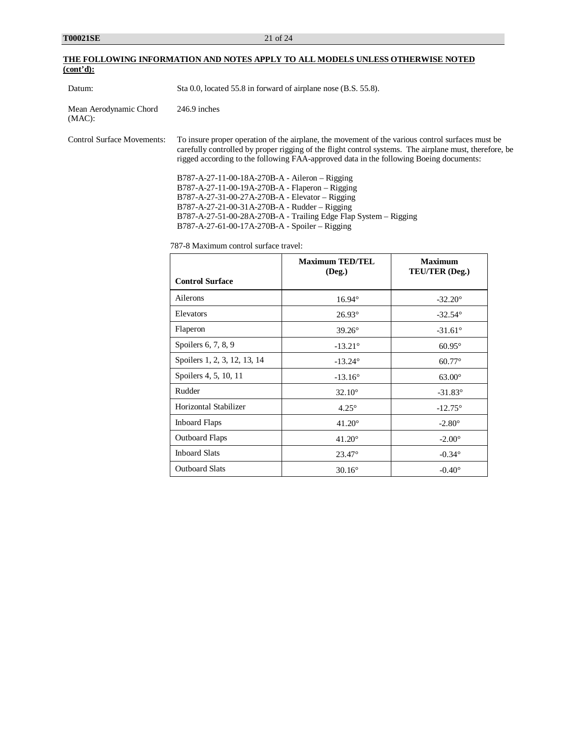| THE FOLLOWING INFORMATION AND NOTES APPLY TO ALL MODELS UNLESS OTHERWISE NOTED |  |  |
|--------------------------------------------------------------------------------|--|--|
| (cont'd):                                                                      |  |  |

| Datum:                              | Sta 0.0, located 55.8 in forward of airplane nose (B.S. 55.8).                                                                                                                                                                                                                                                                                                                                                                                                                                                                                                                                                                                                                                               |                                      |                                                           |
|-------------------------------------|--------------------------------------------------------------------------------------------------------------------------------------------------------------------------------------------------------------------------------------------------------------------------------------------------------------------------------------------------------------------------------------------------------------------------------------------------------------------------------------------------------------------------------------------------------------------------------------------------------------------------------------------------------------------------------------------------------------|--------------------------------------|-----------------------------------------------------------|
| Mean Aerodynamic Chord<br>$(MAC)$ : | $246.9$ inches                                                                                                                                                                                                                                                                                                                                                                                                                                                                                                                                                                                                                                                                                               |                                      |                                                           |
| <b>Control Surface Movements:</b>   | To insure proper operation of the airplane, the movement of the various control surfaces must be<br>carefully controlled by proper rigging of the flight control systems. The airplane must, therefore, be<br>rigged according to the following FAA-approved data in the following Boeing documents:<br>$B787 - A-27-11-00-18A-270B-A - Aileron - Rigging$<br>$B787 - A-27 - 11 - 00 - 19A - 270B - A - Flaperon - Rigging$<br>$B787 - A-27-31 - 00-27A-270B-A - Elevator - Rigging$<br>$B787 - A-27-21 - 00-31A-270B-A - Rudder - Rigging$<br>$B787-A-27-51-00-28A-270B-A - Training Edge Flag System - Rigging$<br>B787-A-27-61-00-17A-270B-A - Spoiler - Rigging<br>787-8 Maximum control surface travel: |                                      |                                                           |
|                                     |                                                                                                                                                                                                                                                                                                                                                                                                                                                                                                                                                                                                                                                                                                              |                                      |                                                           |
|                                     |                                                                                                                                                                                                                                                                                                                                                                                                                                                                                                                                                                                                                                                                                                              | <b>Maximum TED/TEL</b><br>$(D_{22})$ | <b>Maximum</b><br>$T \Gamma T / T \Gamma D / D_{\rm max}$ |

| <b>Control Surface</b>       | Maximum TED/TEL<br>(Deg.) | <b>Maximum</b><br>TEU/TER (Deg.) |
|------------------------------|---------------------------|----------------------------------|
| Ailerons                     | $16.94^\circ$             | $-32.20^{\circ}$                 |
| Elevators                    | $26.93^\circ$             | $-32.54^{\circ}$                 |
| Flaperon                     | $39.26^\circ$             | $-31.61^{\circ}$                 |
| Spoilers 6, 7, 8, 9          | $-13.21^{\circ}$          | $60.95^\circ$                    |
| Spoilers 1, 2, 3, 12, 13, 14 | $-13.24^{\circ}$          | $60.77^\circ$                    |
| Spoilers 4, 5, 10, 11        | $-13.16^{\circ}$          | $63.00^\circ$                    |
| Rudder                       | $32.10^{\circ}$           | $-31.83^{\circ}$                 |
| Horizontal Stabilizer        | $4.25^\circ$              | $-12.75^{\circ}$                 |
| <b>Inboard Flaps</b>         | $41.20^\circ$             | $-2.80^{\circ}$                  |
| <b>Outboard Flaps</b>        | $41.20^\circ$             | $-2.00^\circ$                    |
| <b>Inboard Slats</b>         | $23.47^{\circ}$           | $-0.34^\circ$                    |
| <b>Outboard Slats</b>        | $30.16^\circ$             | $-0.40^\circ$                    |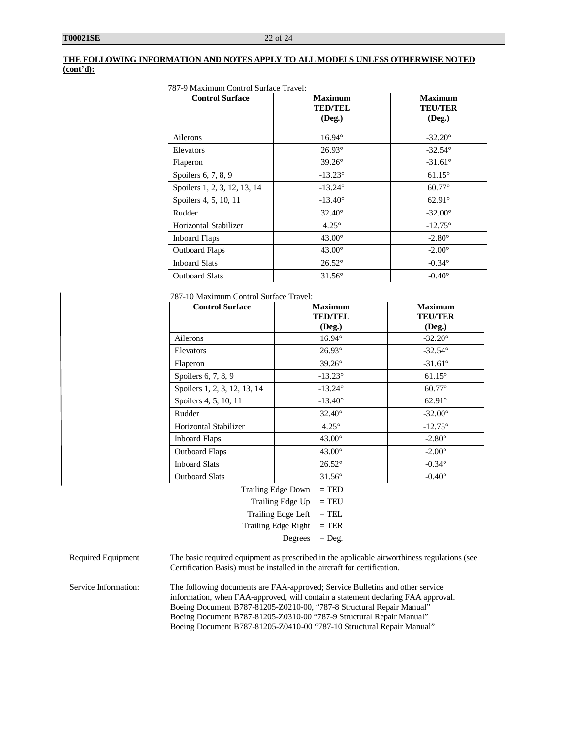### **THE FOLLOWING INFORMATION AND NOTES APPLY TO ALL MODELS UNLESS OTHERWISE NOTED (cont'd):**

| <b>Control Surface</b>       | <b>Maximum</b><br><b>TED/TEL</b> | <b>Maximum</b><br><b>TEU/TER</b> |
|------------------------------|----------------------------------|----------------------------------|
|                              | $($ Deg. $)$                     | $($ Deg. $)$                     |
| Ailerons                     | $16.94^\circ$                    | $-32.20^{\circ}$                 |
| Elevators                    | $26.93^{\circ}$                  | $-32.54^{\circ}$                 |
| Flaperon                     | $39.26^\circ$                    | $-31.61^{\circ}$                 |
| Spoilers 6, 7, 8, 9          | $-13.23^{\circ}$                 | $61.15^\circ$                    |
| Spoilers 1, 2, 3, 12, 13, 14 | $-13.24^{\circ}$                 | $60.77^\circ$                    |
| Spoilers 4, 5, 10, 11        | $-13.40^{\circ}$                 | $62.91^\circ$                    |
| Rudder                       | $32.40^{\circ}$                  | $-32.00^{\circ}$                 |
| Horizontal Stabilizer        | $4.25^{\circ}$                   | $-12.75^{\circ}$                 |
| <b>Inboard Flaps</b>         | $43.00^\circ$                    | $-2.80^{\circ}$                  |
| <b>Outboard Flaps</b>        | $43.00^\circ$                    | $-2.00^\circ$                    |
| <b>Inboard Slats</b>         | $26.52^\circ$                    | $-0.34^{\circ}$                  |

Outboard Slats  $31.56^\circ$  -0.40°

787-10 Maximum Control Surface Travel:

| <b>Control Surface</b>                      | <b>Maximum</b><br><b>TED/TEL</b><br>(Deg.) | <b>Maximum</b><br><b>TEU/TER</b><br>$($ Deg. $)$ |
|---------------------------------------------|--------------------------------------------|--------------------------------------------------|
| Ailerons                                    | $16.94^\circ$                              | $-32.20^{\circ}$                                 |
| Elevators                                   | $26.93^\circ$                              | $-32.54^{\circ}$                                 |
| Flaperon                                    | $39.26^\circ$                              | $-31.61^{\circ}$                                 |
| Spoilers 6, 7, 8, 9                         | $-13.23^{\circ}$                           | $61.15^\circ$                                    |
| Spoilers 1, 2, 3, 12, 13, 14                | $-13.24^{\circ}$                           | $60.77^\circ$                                    |
| Spoilers 4, 5, 10, 11                       | $-13.40^{\circ}$                           | $62.91^\circ$                                    |
| Rudder                                      | $32.40^\circ$                              | $-32.00^{\circ}$                                 |
| Horizontal Stabilizer                       | $4.25^\circ$                               | $-12.75^{\circ}$                                 |
| <b>Inboard Flaps</b>                        | $43.00^\circ$                              | $-2.80^{\circ}$                                  |
| <b>Outboard Flaps</b>                       | $43.00^\circ$                              | $-2.00^\circ$                                    |
| <b>Inboard Slats</b>                        | $26.52^\circ$                              | $-0.34^{\circ}$                                  |
| <b>Outboard Slats</b>                       | $31.56^\circ$                              | $-0.40^\circ$                                    |
| $T_{\rm{rel}}$ ing $Ed_{\alpha\alpha}$ Down | $-$ TED                                    |                                                  |

| Trailing Edge Down         | $=$ TED  |
|----------------------------|----------|
| Trailing Edge Up           | $=$ TEU  |
| Trailing Edge Left         | $=$ TEL  |
| <b>Trailing Edge Right</b> | $=$ TER  |
| Degrees                    | $=$ Deg. |
|                            |          |

Required Equipment The basic required equipment as prescribed in the applicable airworthiness regulations (see Certification Basis) must be installed in the aircraft for certification.

Service Information: The following documents are FAA-approved; Service Bulletins and other service information, when FAA-approved, will contain a statement declaring FAA approval. Boeing Document B787-81205-Z0210-00, "787-8 Structural Repair Manual" Boeing Document B787-81205-Z0310-00 "787-9 Structural Repair Manual" Boeing Document B787-81205-Z0410-00 "787-10 Structural Repair Manual"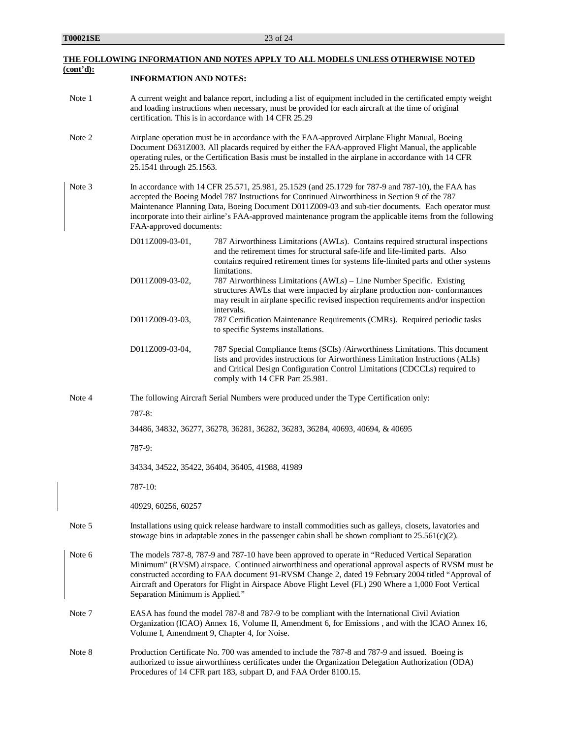|           |                                                                                                                                                                                                                                                                                                                                           | <u>THE FOLLOWING INFORMATION AND NOTES APPLY TO ALL MODELS UNLESS OTHERWISE NOTED</u>                                                                                                                                                                                                                                                                                                                                 |  |
|-----------|-------------------------------------------------------------------------------------------------------------------------------------------------------------------------------------------------------------------------------------------------------------------------------------------------------------------------------------------|-----------------------------------------------------------------------------------------------------------------------------------------------------------------------------------------------------------------------------------------------------------------------------------------------------------------------------------------------------------------------------------------------------------------------|--|
| (cont'd): | <b>INFORMATION AND NOTES:</b>                                                                                                                                                                                                                                                                                                             |                                                                                                                                                                                                                                                                                                                                                                                                                       |  |
| Note 1    |                                                                                                                                                                                                                                                                                                                                           | A current weight and balance report, including a list of equipment included in the certificated empty weight<br>and loading instructions when necessary, must be provided for each aircraft at the time of original<br>certification. This is in accordance with 14 CFR 25.29                                                                                                                                         |  |
| Note 2    | Airplane operation must be in accordance with the FAA-approved Airplane Flight Manual, Boeing<br>Document D631Z003. All placards required by either the FAA-approved Flight Manual, the applicable<br>operating rules, or the Certification Basis must be installed in the airplane in accordance with 14 CFR<br>25.1541 through 25.1563. |                                                                                                                                                                                                                                                                                                                                                                                                                       |  |
| Note 3    | FAA-approved documents:                                                                                                                                                                                                                                                                                                                   | In accordance with 14 CFR 25.571, 25.981, 25.1529 (and 25.1729 for 787-9 and 787-10), the FAA has<br>accepted the Boeing Model 787 Instructions for Continued Airworthiness in Section 9 of the 787<br>Maintenance Planning Data, Boeing Document D011Z009-03 and sub-tier documents. Each operator must<br>incorporate into their airline's FAA-approved maintenance program the applicable items from the following |  |
|           | D011Z009-03-01,                                                                                                                                                                                                                                                                                                                           | 787 Airworthiness Limitations (AWLs). Contains required structural inspections<br>and the retirement times for structural safe-life and life-limited parts. Also<br>contains required retirement times for systems life-limited parts and other systems<br>limitations.                                                                                                                                               |  |
|           | D011Z009-03-02,                                                                                                                                                                                                                                                                                                                           | 787 Airworthiness Limitations (AWLs) - Line Number Specific. Existing<br>structures AWLs that were impacted by airplane production non-conformances<br>may result in airplane specific revised inspection requirements and/or inspection<br>intervals.                                                                                                                                                                |  |
|           | D011Z009-03-03,                                                                                                                                                                                                                                                                                                                           | 787 Certification Maintenance Requirements (CMRs). Required periodic tasks<br>to specific Systems installations.                                                                                                                                                                                                                                                                                                      |  |
|           | D011Z009-03-04,                                                                                                                                                                                                                                                                                                                           | 787 Special Compliance Items (SCIs) /Airworthiness Limitations. This document<br>lists and provides instructions for Airworthiness Limitation Instructions (ALIs)<br>and Critical Design Configuration Control Limitations (CDCCLs) required to<br>comply with 14 CFR Part 25.981.                                                                                                                                    |  |
| Note 4    |                                                                                                                                                                                                                                                                                                                                           | The following Aircraft Serial Numbers were produced under the Type Certification only:                                                                                                                                                                                                                                                                                                                                |  |
|           | $787-8:$                                                                                                                                                                                                                                                                                                                                  |                                                                                                                                                                                                                                                                                                                                                                                                                       |  |
|           |                                                                                                                                                                                                                                                                                                                                           | 34486, 34832, 36277, 36278, 36281, 36282, 36283, 36284, 40693, 40694, & 40695                                                                                                                                                                                                                                                                                                                                         |  |
|           | 787-9:                                                                                                                                                                                                                                                                                                                                    |                                                                                                                                                                                                                                                                                                                                                                                                                       |  |
|           |                                                                                                                                                                                                                                                                                                                                           | 34334, 34522, 35422, 36404, 36405, 41988, 41989                                                                                                                                                                                                                                                                                                                                                                       |  |
|           | 787-10:                                                                                                                                                                                                                                                                                                                                   |                                                                                                                                                                                                                                                                                                                                                                                                                       |  |
|           | 40929, 60256, 60257                                                                                                                                                                                                                                                                                                                       |                                                                                                                                                                                                                                                                                                                                                                                                                       |  |
| Note 5    |                                                                                                                                                                                                                                                                                                                                           | Installations using quick release hardware to install commodities such as galleys, closets, lavatories and<br>stowage bins in adaptable zones in the passenger cabin shall be shown compliant to $25.561(c)(2)$ .                                                                                                                                                                                                     |  |
| Note 6    | Separation Minimum is Applied."                                                                                                                                                                                                                                                                                                           | The models 787-8, 787-9 and 787-10 have been approved to operate in "Reduced Vertical Separation<br>Minimum" (RVSM) airspace. Continued airworthiness and operational approval aspects of RVSM must be<br>constructed according to FAA document 91-RVSM Change 2, dated 19 February 2004 titled "Approval of<br>Aircraft and Operators for Flight in Airspace Above Flight Level (FL) 290 Where a 1,000 Foot Vertical |  |
| Note 7    |                                                                                                                                                                                                                                                                                                                                           | EASA has found the model 787-8 and 787-9 to be compliant with the International Civil Aviation<br>Organization (ICAO) Annex 16, Volume II, Amendment 6, for Emissions , and with the ICAO Annex 16,<br>Volume I, Amendment 9, Chapter 4, for Noise.                                                                                                                                                                   |  |

Note 8 Production Certificate No. 700 was amended to include the 787-8 and 787-9 and issued. Boeing is authorized to issue airworthiness certificates under the Organization Delegation Authorization (ODA) Procedures of 14 CFR part 183, subpart D, and FAA Order 8100.15.